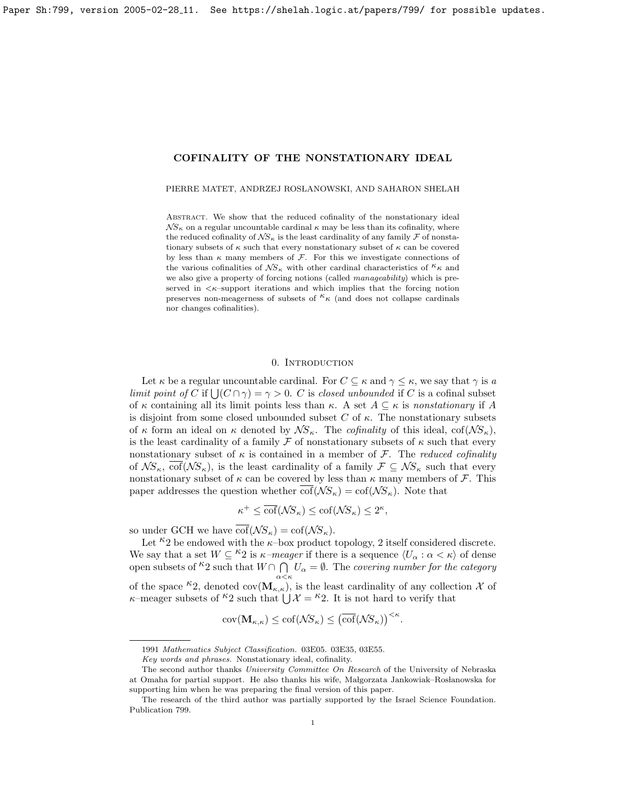<span id="page-0-0"></span>PIERRE MATET, ANDRZEJ ROSŁANOWSKI, AND SAHARON SHELAH

ABSTRACT. We show that the reduced cofinality of the nonstationary ideal  $\mathcal{N}S_{\kappa}$  on a regular uncountable cardinal  $\kappa$  may be less than its cofinality, where the reduced cofinality of  $\mathcal{NS}_{\kappa}$  is the least cardinality of any family  $\mathcal F$  of nonstationary subsets of  $\kappa$  such that every nonstationary subset of  $\kappa$  can be covered by less than  $\kappa$  many members of  $\mathcal{F}$ . For this we investigate connections of the various cofinalities of  $\mathcal{NS}_{\kappa}$  with other cardinal characteristics of  $k_{\kappa}$  and we also give a property of forcing notions (called *manageability*) which is preserved in  $\lt \kappa$ -support iterations and which implies that the forcing notion preserves non-meagerness of subsets of  $k \kappa$  (and does not collapse cardinals nor changes cofinalities).

### 0. INTRODUCTION

Let  $\kappa$  be a regular uncountable cardinal. For  $C \subseteq \kappa$  and  $\gamma \leq \kappa$ , we say that  $\gamma$  is a limit point of C if  $\bigcup (C \cap \gamma) = \gamma > 0$ . C is closed unbounded if C is a cofinal subset of  $\kappa$  containing all its limit points less than  $\kappa$ . A set  $A \subseteq \kappa$  is nonstationary if A is disjoint from some closed unbounded subset C of  $\kappa$ . The nonstationary subsets of  $\kappa$  form an ideal on  $\kappa$  denoted by  $\mathcal{N}S_{\kappa}$ . The *cofinality* of this ideal, cof( $\mathcal{N}S_{\kappa}$ ), is the least cardinality of a family  $\mathcal F$  of nonstationary subsets of  $\kappa$  such that every nonstationary subset of  $\kappa$  is contained in a member of  $\mathcal F$ . The reduced cofinality of  $\mathcal{NS}_{\kappa}$ ,  $\overline{\text{cof}}(\mathcal{NS}_{\kappa})$ , is the least cardinality of a family  $\mathcal{F} \subseteq \mathcal{NS}_{\kappa}$  such that every nonstationary subset of  $\kappa$  can be covered by less than  $\kappa$  many members of  $\mathcal F$ . This paper addresses the question whether  $\overline{\text{cof}}(\mathcal{N}S_{\kappa}) = \text{cof}(\mathcal{N}S_{\kappa})$ . Note that

$$
\kappa^+ \le \overline{\text{cof}}(\mathcal{N}S_{\kappa}) \le \text{cof}(\mathcal{N}S_{\kappa}) \le 2^{\kappa},
$$

so under GCH we have  $\overline{\text{cof}}(\mathcal{N}S_{\kappa}) = \text{cof}(\mathcal{N}S_{\kappa}).$ 

Let  $\kappa_2$  be endowed with the  $\kappa$ -box product topology, 2 itself considered discrete. We say that a set  $W \subseteq {}^{\kappa}2$  is  $\kappa$ -meager if there is a sequence  $\langle U_{\alpha} : \alpha < \kappa \rangle$  of dense open subsets of  $k^2$  such that  $W \cap \bigcap^{n} U_{\alpha} = \emptyset$ . The covering number for the category of the space  $\kappa_2$ , denoted cov $(\mathbf{M}_{\kappa,\kappa})$ , is the least cardinality of any collection X of  $\kappa$ –meager subsets of  $\kappa_2$  such that  $\bigcup \mathcal{X} = \kappa_2$ . It is not hard to verify that

$$
cov(\mathbf{M}_{\kappa,\kappa}) \leq cof(\mathcal{N}S_{\kappa}) \leq (\overline{cof}(\mathcal{N}S_{\kappa}))^{<\kappa}.
$$

<sup>1991</sup> Mathematics Subject Classification. 03E05. 03E35, 03E55.

Key words and phrases. Nonstationary ideal, cofinality.

The second author thanks University Committee On Research of the University of Nebraska at Omaha for partial support. He also thanks his wife, Małgorzata Jankowiak–Rosłanowska for supporting him when he was preparing the final version of this paper.

The research of the third author was partially supported by the Israel Science Foundation. Publication 799.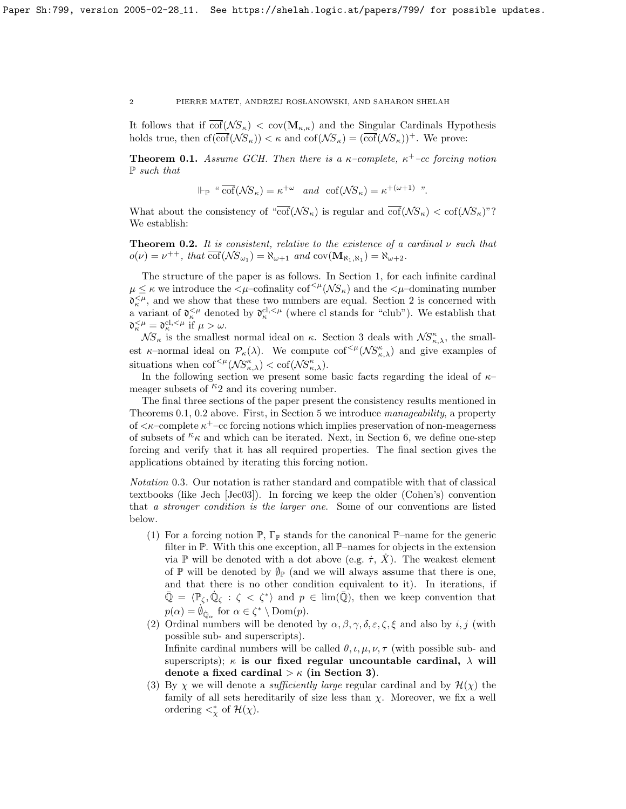It follows that if  $\text{cof}(\mathcal{NS}_\kappa) < \text{cov}(\mathbf{M}_{\kappa,\kappa})$  and the Singular Cardinals Hypothesis holds true, then  $cf(\overline{cof}(\mathcal{NS}_{\kappa})) < \kappa$  and  $cof(\mathcal{NS}_{\kappa}) = (\overline{cof}(\mathcal{NS}_{\kappa}))^+$ . We prove:

<span id="page-1-0"></span>**Theorem 0.1.** Assume GCH. Then there is a  $\kappa$ -complete,  $\kappa$ <sup>+</sup>-cc forcing notion P such that

$$
\Vdash_{\mathbb{P}} \text{``}\overline{\text{cof}}(\mathcal{N}S_{\kappa}) = \kappa^{+\omega} \quad \text{and} \quad \text{cof}(\mathcal{N}S_{\kappa}) = \kappa^{+(\omega+1)} \text{''}.
$$

What about the consistency of " $\overline{\text{cof}}(\mathcal{N}S_{\kappa})$  is regular and  $\overline{\text{cof}}(\mathcal{N}S_{\kappa}) < \text{cof}(\mathcal{N}S_{\kappa})$ "? We establish:

<span id="page-1-1"></span>**Theorem 0.2.** It is consistent, relative to the existence of a cardinal  $\nu$  such that  $o(\nu) = \nu^{++}$ , that  $\overline{\text{cof}}(\mathcal{N}S_{\omega_1}) = \aleph_{\omega+1}$  and  $\text{cov}(\mathbf{M}_{\aleph_1, \aleph_1}) = \aleph_{\omega+2}$ .

The structure of the paper is as follows. In Section 1, for each infinite cardinal  $\mu \leq \kappa$  we introduce the  $\langle \mu$ -cofinality cof<sup> $\langle \mu(\mathcal{NS}_{\kappa})\rangle$  and the  $\langle \mu$ -dominating number</sup>  $\mathfrak{d}_{\kappa}^{\leq \mu}$ , and we show that these two numbers are equal. Section 2 is concerned with a variant of  $\mathfrak{d}_{\kappa}^{<\mu}$  denoted by  $\mathfrak{d}_{\kappa}^{cl,<\mu}$  (where cl stands for "club"). We establish that  $\mathfrak{d}_{\kappa}^{<\mu} = \mathfrak{d}_{\kappa}^{\text{cl},<\mu}$  if  $\mu > \omega$ .

 $\mathcal{NS}_{\kappa}$  is the smallest normal ideal on  $\kappa$ . Section 3 deals with  $\mathcal{NS}_{\kappa,\lambda}^{\kappa}$ , the smallest  $\kappa$ -normal ideal on  $\mathcal{P}_{\kappa}(\lambda)$ . We compute  $\text{cof}^{<\mu}(\mathcal{NS}_{\kappa,\lambda}^{\kappa})$  and give examples of situations when  $\mathrm{cof}^{<\mu}(\mathcal{NS}_{\kappa,\lambda}^{\kappa}) < \mathrm{cof}(\mathcal{NS}_{\kappa,\lambda}^{\kappa}).$ 

In the following section we present some basic facts regarding the ideal of  $\kappa$ – meager subsets of  $k_2$  and its covering number.

The final three sections of the paper present the consistency results mentioned in Theorems [0.1,](#page-1-0) [0.2](#page-1-1) above. First, in Section 5 we introduce manageability, a property of  $\lt\kappa$ -complete  $\kappa^+$ -cc forcing notions which implies preservation of non-meagerness of subsets of  $k_{\kappa}$  and which can be iterated. Next, in Section 6, we define one-step forcing and verify that it has all required properties. The final section gives the applications obtained by iterating this forcing notion.

<span id="page-1-2"></span>Notation 0.3. Our notation is rather standard and compatible with that of classical textbooks (like Jech [\[Jec03\]](#page-23-0)). In forcing we keep the older (Cohen's) convention that a stronger condition is the larger one. Some of our conventions are listed below.

- (1) For a forcing notion  $\mathbb{P}, \Gamma_{\mathbb{P}}$  stands for the canonical  $\mathbb{P}-$ name for the generic filter in P. With this one exception, all P–names for objects in the extension via P will be denoted with a dot above (e.g.  $\dot{\tau}$ , X). The weakest element of  $\mathbb P$  will be denoted by  $\emptyset_{\mathbb P}$  (and we will always assume that there is one, and that there is no other condition equivalent to it). In iterations, if  $\overline{\mathbb{Q}} = \langle \mathbb{P}_{\zeta}, \dot{\mathbb{Q}}_{\zeta} : \zeta \langle \zeta^* \rangle \text{ and } p \in \text{lim}(\overline{\mathbb{Q}}), \text{ then we keep convention that }$  $p(\alpha) = \dot{\emptyset}_{\dot{\mathbb{Q}}_{\alpha}}$  for  $\alpha \in \zeta^* \setminus \text{Dom}(p)$ .
- (2) Ordinal numbers will be denoted by  $\alpha, \beta, \gamma, \delta, \varepsilon, \zeta, \xi$  and also by i, j (with possible sub- and superscripts). Infinite cardinal numbers will be called  $\theta$ ,  $\mu$ ,  $\mu$ ,  $\nu$ ,  $\tau$  (with possible sub- and superscripts);  $\kappa$  is our fixed regular uncountable cardinal,  $\lambda$  will denote a fixed cardinal  $>\kappa$  (in Section 3).
- (3) By  $\chi$  we will denote a *sufficiently large* regular cardinal and by  $\mathcal{H}(\chi)$  the family of all sets hereditarily of size less than  $\chi$ . Moreover, we fix a well ordering  $\lt^*_\chi$  of  $\mathcal{H}(\chi)$ .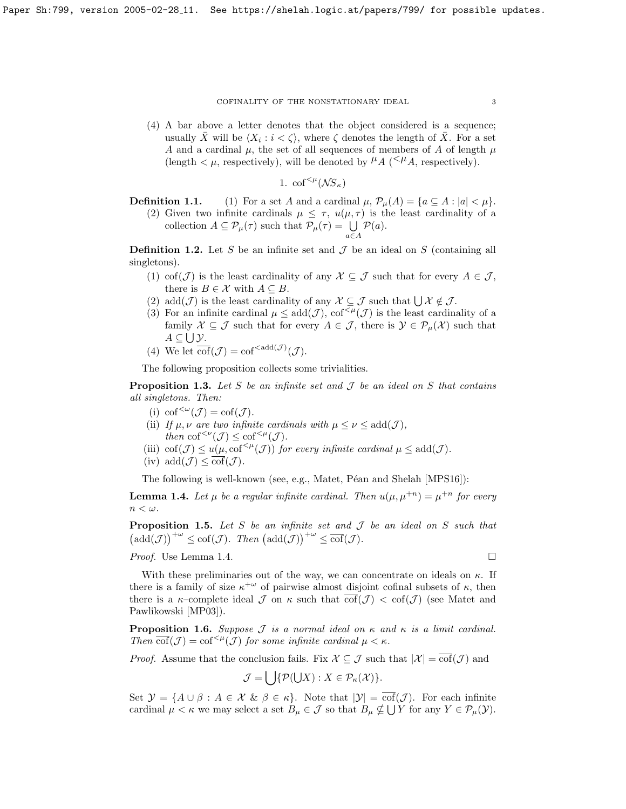(4) A bar above a letter denotes that the object considered is a sequence; usually  $\bar{X}$  will be  $\langle X_i : i < \zeta \rangle$ , where  $\zeta$  denotes the length of  $\bar{X}$ . For a set A and a cardinal  $\mu$ , the set of all sequences of members of A of length  $\mu$ (length  $\lt \mu$ , respectively), will be denoted by  $\mu_A \leq \mu_A$ , respectively).

1. 
$$
\mathrm{cof}^{<\mu}(\mathcal{N}S_{\kappa})
$$

**Definition 1.1.** (1) For a set A and a cardinal  $\mu$ ,  $\mathcal{P}_{\mu}(A) = \{a \subseteq A : |a| < \mu\}.$ (2) Given two infinite cardinals  $\mu \leq \tau$ ,  $u(\mu, \tau)$  is the least cardinality of a collection  $A \subseteq \mathcal{P}_{\mu}(\tau)$  such that  $\mathcal{P}_{\mu}(\tau) = \bigcup_{a \in A}$  $\mathcal{P}(a)$ .

**Definition 1.2.** Let S be an infinite set and  $\mathcal{J}$  be an ideal on S (containing all singletons).

- (1) cof( $\mathcal{J}$ ) is the least cardinality of any  $\mathcal{X} \subseteq \mathcal{J}$  such that for every  $A \in \mathcal{J}$ , there is  $B \in \mathcal{X}$  with  $A \subseteq B$ .
- (2) add $(\mathcal{J})$  is the least cardinality of any  $\mathcal{X} \subseteq \mathcal{J}$  such that  $\bigcup \mathcal{X} \notin \mathcal{J}$ .
- (3) For an infinite cardinal  $\mu \leq add(\mathcal{J})$ ,  $cof^{(\mathcal{J})}$  is the least cardinality of a family  $\mathcal{X} \subseteq \mathcal{J}$  such that for every  $A \in \mathcal{J}$ , there is  $\mathcal{Y} \in \mathcal{P}_{\mu}(\mathcal{X})$  such that  $A\subseteq\bigcup\mathcal{Y}$ .
- (4) We let  $\overline{\text{cof}}(\mathcal{J}) = \text{cof}^{<\text{add}(\mathcal{J})}(\mathcal{J}).$

The following proposition collects some trivialities.

**Proposition 1.3.** Let S be an infinite set and  $\mathcal J$  be an ideal on S that contains all singletons. Then:

- (i)  $\text{cof}^{<\omega}(\mathcal{J}) = \text{cof}(\mathcal{J}).$
- (ii) If  $\mu, \nu$  are two infinite cardinals with  $\mu \leq \nu \leq \text{add}(\mathcal{J}),$ then  $\text{cof}^{<\nu}(\mathcal{J}) \leq \text{cof}^{<\mu}(\mathcal{J}).$
- (iii) cof( $\mathcal{J}$ )  $\leq u(\mu, \text{cof}^{<\mu}(\mathcal{J}))$  for every infinite cardinal  $\mu \leq \text{add}(\mathcal{J})$ .
- (iv)  $\text{add}(\mathcal{J}) \leq \text{cof}(\mathcal{J}).$

The following is well-known (see, e.g., Matet, Péan and Shelah [\[MPS16\]](#page-23-1)):

<span id="page-2-0"></span>**Lemma 1.4.** Let  $\mu$  be a regular infinite cardinal. Then  $u(\mu, \mu^{+n}) = \mu^{+n}$  for every  $n < \omega$ .

**Proposition 1.5.** Let S be an infinite set and  $\mathcal J$  be an ideal on S such that  $\left(\mathrm{add}(\mathcal{J})\right)^{+\omega} \leq \mathrm{cof}(\mathcal{J}).$  Then  $\left(\mathrm{add}(\mathcal{J})\right)^{+\omega} \leq \mathrm{cof}(\mathcal{J}).$ 

*Proof.* Use Lemma [1.4.](#page-2-0)

With these preliminaries out of the way, we can concentrate on ideals on  $\kappa$ . If there is a family of size  $\kappa^{+\omega}$  of pairwise almost disjoint cofinal subsets of  $\kappa$ , then there is a  $\kappa$ -complete ideal  $\mathcal J$  on  $\kappa$  such that  $\text{cof}(\mathcal J) < \text{cof}(\mathcal J)$  (see Matet and Pawlikowski [\[MP03\]](#page-23-2)).

<span id="page-2-1"></span>**Proposition 1.6.** Suppose  $\mathcal J$  is a normal ideal on  $\kappa$  and  $\kappa$  is a limit cardinal. Then  $\overline{\text{cof}}(\mathcal{J}) = \text{cof}^{<\mu}(\mathcal{J})$  for some infinite cardinal  $\mu < \kappa$ .

*Proof.* Assume that the conclusion fails. Fix  $\mathcal{X} \subseteq \mathcal{J}$  such that  $|\mathcal{X}| = \overline{\text{cof}}(\mathcal{J})$  and

$$
\mathcal{J} = \bigcup \{ \mathcal{P}(\bigcup X) : X \in \mathcal{P}_{\kappa}(\mathcal{X}) \}.
$$

Set  $\mathcal{Y} = \{A \cup \beta : A \in \mathcal{X} \& \beta \in \kappa\}.$  Note that  $|\mathcal{Y}| = \overline{\text{cof}}(\mathcal{J})$ . For each infinite cardinal  $\mu < \kappa$  we may select a set  $B_{\mu} \in \mathcal{J}$  so that  $B_{\mu} \notin \bigcup Y$  for any  $Y \in \mathcal{P}_{\mu}(\mathcal{Y})$ .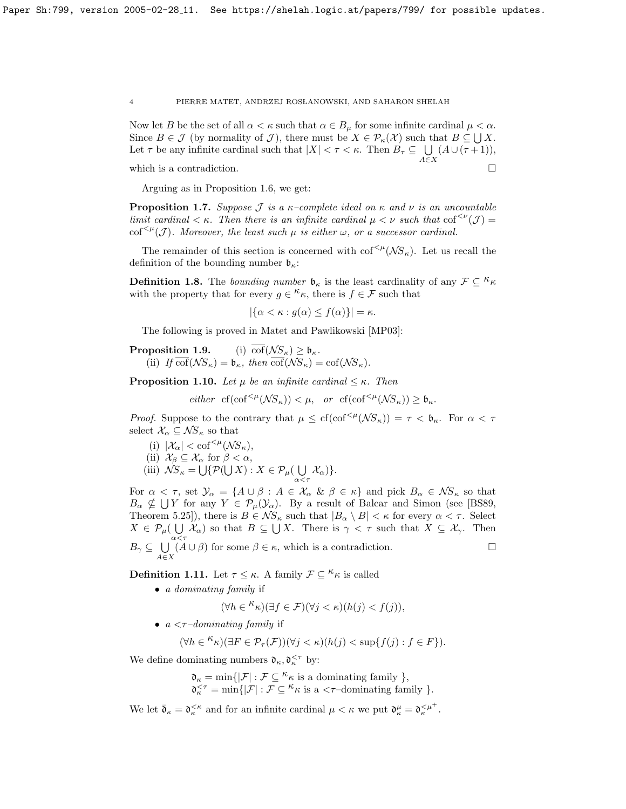Now let B be the set of all  $\alpha < \kappa$  such that  $\alpha \in B_\mu$  for some infinite cardinal  $\mu < \alpha$ . Since  $B \in \mathcal{J}$  (by normality of  $\mathcal{J}$ ), there must be  $X \in \mathcal{P}_{\kappa}(\mathcal{X})$  such that  $B \subseteq \bigcup X$ . Let  $\tau$  be any infinite cardinal such that  $|X| < \tau < \kappa$ . Then  $B_{\tau} \subseteq \cup$ A∈X  $(A \cup (\tau + 1)),$ which is a contradiction.  $\hfill \square$ 

Arguing as in Proposition [1.6,](#page-2-1) we get:

<span id="page-3-0"></span>**Proposition 1.7.** Suppose J is a  $\kappa$ -complete ideal on  $\kappa$  and  $\nu$  is an uncountable limit cardinal  $\lt \kappa$ . Then there is an infinite cardinal  $\mu \lt \nu$  such that  $\cot^{<\nu}(\mathcal{J}) =$ cof<sup> $\leq \mu(\mathcal{J})$ </sup>. Moreover, the least such  $\mu$  is either  $\omega$ , or a successor cardinal.

The remainder of this section is concerned with  $\text{cof}^{<\mu}(\mathcal{NS}_{\kappa})$ . Let us recall the definition of the bounding number  $\mathfrak{b}_{\kappa}$ :

**Definition 1.8.** The *bounding number*  $\mathfrak{b}_{\kappa}$  is the least cardinality of any  $\mathcal{F} \subseteq {}^{\kappa} \kappa$ with the property that for every  $g \in \kappa_{\kappa}$ , there is  $f \in \mathcal{F}$  such that

$$
|\{\alpha < \kappa : g(\alpha) \le f(\alpha)\}| = \kappa.
$$

The following is proved in Matet and Pawlikowski [\[MP03\]](#page-23-2):

**Proposition 1.9.** (i)  $\overline{\text{cof}}(\mathcal{N}S_{\kappa}) > \mathfrak{b}_{\kappa}$ . (ii) If  $\overline{\text{cof}}(\mathcal{N}S_{\kappa}) = \mathfrak{b}_{\kappa}$ , then  $\overline{\text{cof}}(\mathcal{N}S_{\kappa}) = \text{cof}(\mathcal{N}S_{\kappa})$ .

**Proposition 1.10.** Let  $\mu$  be an infinite cardinal  $\leq \kappa$ . Then

either  $cf(\text{cof}^{<\mu}(\mathcal{N}S_{\kappa}))<\mu, \text{ or } cf(\text{cof}^{<\mu}(\mathcal{N}S_{\kappa}))\geq \mathfrak{b}_{\kappa}.$ 

*Proof.* Suppose to the contrary that  $\mu \leq cf(\text{cof}^{<\mu}(NS_{\kappa})) = \tau \lt \mathfrak{b}_{\kappa}$ . For  $\alpha \lt \tau$ select $\mathcal{X}_\alpha \subseteq \mathcal{N}\!S_\kappa$  so that

(i)  $|\mathcal{X}_\alpha| < \text{cof}^{<\mu}(\mathcal{N}S_\kappa),$ (ii)  $\mathcal{X}_{\beta} \subseteq \mathcal{X}_{\alpha}$  for  $\beta < \alpha$ , (iii)  $\mathcal{N}S_{\kappa} = \bigcup \{ \mathcal{P}(\bigcup X) : X \in \mathcal{P}_{\mu}(\bigcup$  $\bigcup_{\alpha < \tau} \mathcal{X}_{\alpha}$ )}.

For  $\alpha < \tau$ , set  $\mathcal{Y}_{\alpha} = \{ A \cup \beta : A \in \mathcal{X}_{\alpha} \& \beta \in \kappa \}$  and pick  $B_{\alpha} \in \mathcal{NS}_{\kappa}$  so that  $B_{\alpha} \nsubseteq \bigcup Y$  for any  $Y \in \mathcal{P}_{\mu}(\mathcal{Y}_{\alpha})$ . By a result of Balcar and Simon (see [\[BS89,](#page-23-3) Theorem 5.25]), there is  $B \in \mathcal{NS}_{\kappa}$  such that  $|B_{\alpha} \setminus B| < \kappa$  for every  $\alpha < \tau$ . Select  $X \in \mathcal{P}_{\mu}(\bigcup \mathcal{X}_{\alpha})$  so that  $B \subseteq \bigcup X$ . There is  $\gamma < \tau$  such that  $X \subseteq \mathcal{X}_{\gamma}$ . Then  $B_{\gamma} \subseteq \bigcup_{\alpha \leq \tau} A_{\alpha}$  $A \in X$  $(A \cup \beta)$  for some  $\beta \in \kappa$ , which is a contradiction.

**Definition 1.11.** Let  $\tau \leq \kappa$ . A family  $\mathcal{F} \subseteq \kappa$  is called

• a dominating family if

$$
(\forall h \in \mathcal{K}_{\kappa})(\exists f \in \mathcal{F})(\forall j < \kappa)(h(j) < f(j)),
$$

•  $a < \tau$ -dominating family if

$$
(\forall h \in \mathcal{K}_{\kappa})(\exists F \in \mathcal{P}_{\tau}(\mathcal{F}))(\forall j < \kappa)(h(j) < \sup\{f(j) : f \in F\}).
$$

We define dominating numbers  $\mathfrak{d}_{\kappa}, \mathfrak{d}_{\kappa}^{\leq \tau}$  by:

 $\mathfrak{d}_{\kappa} = \min\{|\mathcal{F}| : \mathcal{F} \subseteq \kappa_{\kappa} \text{ is a dominating family }\},$  $\mathfrak{d}_{\kappa}^{<\tau} = \min\{|\mathcal{F}| : \mathcal{F} \subseteq \kappa_{\kappa} \text{ is a } < \tau\text{-dominating family }\}.$ 

We let  $\bar{\mathfrak{d}}_{\kappa} = \mathfrak{d}_{\kappa}^{\kappa}$  and for an infinite cardinal  $\mu < \kappa$  we put  $\mathfrak{d}_{\kappa}^{\mu} = \mathfrak{d}_{\kappa}^{\kappa}$ .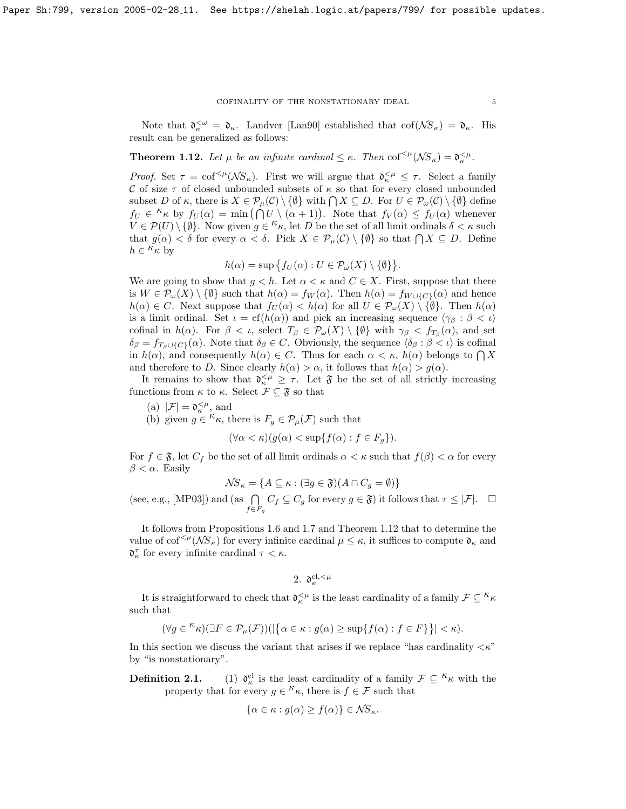# COFINALITY OF THE NONSTATIONARY IDEAL  $\qquad \qquad \, 5$

Note that  $\mathfrak{d}_{\kappa}^{\leq \omega} = \mathfrak{d}_{\kappa}$ . Landver [\[Lan90\]](#page-23-4) established that  $\text{cof}(\mathcal{N}S_{\kappa}) = \mathfrak{d}_{\kappa}$ . His result can be generalized as follows:

<span id="page-4-0"></span>**Theorem 1.12.** Let  $\mu$  be an infinite cardinal  $\leq \kappa$ . Then cof<sup> $\leq \mu$ </sup>( $\mathcal{NS}_{\kappa}$ ) =  $\mathfrak{d}_{\kappa}^{\leq \mu}$ .

Proof. Set  $\tau = \text{cof}^{<\mu}(\mathcal{N}S_{\kappa})$ . First we will argue that  $\mathfrak{d}_{\kappa}^{<\mu} \leq \tau$ . Select a family C of size  $\tau$  of closed unbounded subsets of  $\kappa$  so that for every closed unbounded subset D of  $\kappa$ , there is  $X \in \mathcal{P}_{\mu}(\mathcal{C}) \setminus \{ \emptyset \}$  with  $\bigcap X \subseteq D$ . For  $U \in \mathcal{P}_{\omega}(\mathcal{C}) \setminus \{ \emptyset \}$  define  $f_U \in \kappa_{\kappa}$  by  $f_U(\alpha) = \min(\bigcap_{\alpha=0}^{K} U \setminus (\alpha+1)).$  Note that  $f_V(\alpha) \leq f_U(\alpha)$  whenever  $V \in \mathcal{P}(U) \setminus \{\emptyset\}$ . Now given  $g \in \kappa_{\kappa}$ , let D be the set of all limit ordinals  $\delta < \kappa$  such that  $g(\alpha) < \delta$  for every  $\alpha < \delta$ . Pick  $X \in \mathcal{P}_{\mu}(\mathcal{C}) \setminus \{\emptyset\}$  so that  $\bigcap X \subseteq D$ . Define  $h \in \overset{\sim}{\kappa_{\kappa}}$  by

$$
h(\alpha) = \sup \{ f_U(\alpha) : U \in \mathcal{P}_{\omega}(X) \setminus \{ \emptyset \} \}.
$$

We are going to show that  $g < h$ . Let  $\alpha < \kappa$  and  $C \in X$ . First, suppose that there is  $W \in \mathcal{P}_{\omega}(X) \setminus \{ \emptyset \}$  such that  $h(\alpha) = f_W(\alpha)$ . Then  $h(\alpha) = f_{W \cup \{ C\}}(\alpha)$  and hence  $h(\alpha) \in C$ . Next suppose that  $f_U(\alpha) < h(\alpha)$  for all  $U \in \mathcal{P}_\omega(X) \setminus \{\emptyset\}$ . Then  $h(\alpha)$ is a limit ordinal. Set  $\iota = \text{cf}(h(\alpha))$  and pick an increasing sequence  $\langle \gamma_\beta : \beta < \iota \rangle$ cofinal in  $h(\alpha)$ . For  $\beta < \iota$ , select  $T_{\beta} \in \mathcal{P}_{\omega}(X) \setminus \{\emptyset\}$  with  $\gamma_{\beta} < f_{T_{\beta}}(\alpha)$ , and set  $\delta_{\beta} = f_{T_{\beta} \cup \{C\}}(\alpha)$ . Note that  $\delta_{\beta} \in C$ . Obviously, the sequence  $\langle \delta_{\beta} : \beta \langle \iota \rangle$  is cofinal in  $h(\alpha)$ , and consequently  $h(\alpha) \in C$ . Thus for each  $\alpha < \kappa$ ,  $h(\alpha)$  belongs to  $\bigcap X$ and therefore to D. Since clearly  $h(\alpha) > \alpha$ , it follows that  $h(\alpha) > g(\alpha)$ .

It remains to show that  $\mathfrak{d}_{\kappa}^{\leq \mu} \geq \tau$ . Let  $\mathfrak{F}$  be the set of all strictly increasing functions from  $\kappa$  to  $\kappa$ . Select  $\mathcal{F} \subseteq \mathfrak{F}$  so that

- (a)  $|\mathcal{F}| = \mathfrak{d}_\kappa^{<\mu},$  and
- (b) given  $g \in \kappa_{\kappa}$ , there is  $F_g \in \mathcal{P}_{\mu}(\mathcal{F})$  such that

$$
(\forall \alpha < \kappa)(g(\alpha) < \sup\{f(\alpha) : f \in F_g\}).
$$

For  $f \in \mathfrak{F}$ , let  $C_f$  be the set of all limit ordinals  $\alpha < \kappa$  such that  $f(\beta) < \alpha$  for every  $\beta < \alpha$ . Easily

$$
\mathcal{NS}_{\kappa} = \{ A \subseteq \kappa : (\exists g \in \mathfrak{F})(A \cap C_g = \emptyset) \}
$$

(see, e.g., [\[MP03\]](#page-23-2)) and (as  $\bigcap$  $f \in F_g$  $C_f \subseteq C_g$  for every  $g \in \mathfrak{F}$ ) it follows that  $\tau \leq |\mathcal{F}|$ .  $\Box$ 

It follows from Propositions [1.6](#page-2-1) and [1.7](#page-3-0) and Theorem [1.12](#page-4-0) that to determine the value of  $\text{cof}^{<\mu}(\mathcal{NS}_{\kappa})$  for every infinite cardinal  $\mu \leq \kappa$ , it suffices to compute  $\mathfrak{d}_{\kappa}$  and  $\mathfrak{d}_{\kappa}^{\tau}$  for every infinite cardinal  $\tau < \kappa$ .

2. 
$$
\mathfrak{d}_{\kappa}^{\mathrm{cl},<\mu}
$$

It is straightforward to check that  $\mathfrak{d}_{\kappa}^{\leq \mu}$  is the least cardinality of a family  $\mathcal{F} \subseteq {}^{\kappa} \kappa$ such that

$$
(\forall g \in {}^{\kappa}\kappa)(\exists F \in \mathcal{P}_{\mu}(\mathcal{F}))(|\{\alpha \in \kappa : g(\alpha) \geq \sup\{f(\alpha) : f \in F\}\}| < \kappa).
$$

In this section we discuss the variant that arises if we replace "has cardinality  $\langle \kappa$ " by "is nonstationary".

Definition 2.1.  $\frac{c}{\kappa}$  is the least cardinality of a family  $\mathcal{F} \subseteq \kappa_{\kappa}$  with the property that for every  $g \in \kappa_{\kappa}$ , there is  $f \in \mathcal{F}$  such that

$$
\{\alpha \in \kappa : g(\alpha) \ge f(\alpha)\} \in \mathcal{NS}_{\kappa}.
$$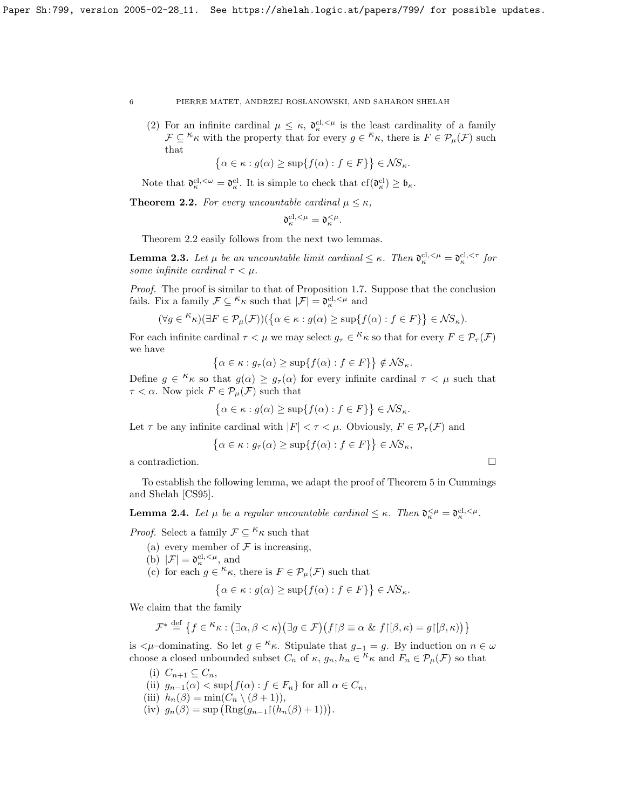(2) For an infinite cardinal  $\mu \leq \kappa$ ,  $\mathfrak{d}_{\kappa}^{\text{cl},\leq \mu}$  is the least cardinality of a family  $\mathcal{F} \subseteq {}^{\kappa}\kappa$  with the property that for every  $g \in {}^{\kappa}\kappa$ , there is  $F \in \mathcal{P}_{\mu}(\mathcal{F})$  such that

$$
\{\alpha \in \kappa : g(\alpha) \ge \sup\{f(\alpha) : f \in F\}\}\in \mathcal{NS}_{\kappa}.
$$

Note that  $\mathfrak{d}_{\kappa}^{\text{cl},\leq\omega}=\mathfrak{d}_{\kappa}^{\text{cl}}$ . It is simple to check that  $cf(\mathfrak{d}_{\kappa}^{\text{cl}})\geq\mathfrak{b}_{\kappa}$ .

<span id="page-5-0"></span>**Theorem 2.2.** For every uncountable cardinal  $\mu \leq \kappa$ ,

$$
\mathfrak{d}_{\kappa}^{\mathrm{cl},<\mu}=\mathfrak{d}_{\kappa}^{<\mu}.
$$

Theorem [2.2](#page-5-0) easily follows from the next two lemmas.

**Lemma 2.3.** Let  $\mu$  be an uncountable limit cardinal  $\leq \kappa$ . Then  $\mathfrak{d}_{\kappa}^{\text{cl},\lt\mu} = \mathfrak{d}_{\kappa}^{\text{cl},\lt\tau}$  for some infinite cardinal  $\tau < \mu$ .

Proof. The proof is similar to that of Proposition [1.7.](#page-3-0) Suppose that the conclusion fails. Fix a family  $\mathcal{F} \subseteq \kappa_{\kappa}$  such that  $|\mathcal{F}| = \mathfrak{d}_{\kappa}^{cl,<\mu}$  and

$$
(\forall g \in {}^{\mathcal{K}} \kappa)(\exists F \in \mathcal{P}_{\mu}(\mathcal{F}))(\{\alpha \in \kappa : g(\alpha) \geq \sup\{f(\alpha) : f \in F\}\} \in \mathcal{N}S_{\kappa}).
$$

For each infinite cardinal  $\tau < \mu$  we may select  $g_{\tau} \in$ <sup> $\kappa$ </sup>  $\kappa$  so that for every  $F \in \mathcal{P}_{\tau}(\mathcal{F})$ we have

$$
\left\{\alpha \in \kappa : g_{\tau}(\alpha) \ge \sup\{f(\alpha) : f \in F\}\right\} \notin \mathcal{NS}_{\kappa}.
$$

Define  $g \in \kappa_{\kappa}$  so that  $g(\alpha) \geq g_{\tau}(\alpha)$  for every infinite cardinal  $\tau < \mu$  such that  $\tau < \alpha$ . Now pick  $F \in \mathcal{P}_{\mu}(\mathcal{F})$  such that

$$
\{\alpha \in \kappa : g(\alpha) \ge \sup\{f(\alpha) : f \in F\}\}\in \mathcal{NS}_{\kappa}.
$$

Let  $\tau$  be any infinite cardinal with  $|F| < \tau < \mu$ . Obviously,  $F \in \mathcal{P}_{\tau}(\mathcal{F})$  and

$$
\left\{\alpha \in \kappa : g_{\tau}(\alpha) \ge \sup\{f(\alpha) : f \in F\}\right\} \in \mathcal{NS}_{\kappa},
$$

a contradiction.  $\Box$ 

To establish the following lemma, we adapt the proof of Theorem 5 in Cummings and Shelah [\[CS95\]](#page-23-5).

**Lemma 2.4.** Let  $\mu$  be a regular uncountable cardinal  $\leq \kappa$ . Then  $\mathfrak{d}_{\kappa}^{\leq \mu} = \mathfrak{d}_{\kappa}^{\text{cl},\leq \mu}$ .

*Proof.* Select a family  $\mathcal{F} \subseteq \kappa_{\kappa}$  such that

- (a) every member of  $\mathcal F$  is increasing,
- (b)  $|\mathcal{F}| = \mathfrak{d}_{\kappa}^{\text{cl}, \leq \mu}$ , and
- (c) for each  $g \in K_{\kappa}$ , there is  $F \in \mathcal{P}_{\mu}(\mathcal{F})$  such that

$$
\{\alpha \in \kappa : g(\alpha) \ge \sup\{f(\alpha) : f \in F\}\}\in \mathcal{NS}_{\kappa}.
$$

We claim that the family

$$
\mathcal{F}^* \stackrel{\text{def}}{=} \left\{ f \in \mathcal{K} \kappa : (\exists \alpha, \beta < \kappa) (\exists g \in \mathcal{F}) (f \upharpoonright \beta \equiv \alpha \& f \upharpoonright [\beta, \kappa) = g \upharpoonright [\beta, \kappa)) \right\}
$$

is  $\lt \mu$ -dominating. So let  $g \in \kappa_{\kappa}$ . Stipulate that  $g_{-1} = g$ . By induction on  $n \in \omega$ choose a closed unbounded subset  $C_n$  of  $\kappa$ ,  $g_n, h_n \in K_{\kappa}$  and  $F_n \in \mathcal{P}_{\mu}(\mathcal{F})$  so that

- (i)  $C_{n+1} \subseteq C_n$ ,
- (ii)  $g_{n-1}(\alpha) < \sup\{f(\alpha) : f \in F_n\}$  for all  $\alpha \in C_n$ ,
- (iii)  $h_n(\beta) = \min(C_n \setminus (\beta + 1)),$
- (iv)  $g_n(\beta) = \sup \left( \text{Rng}(g_{n-1} \upharpoonright (h_n(\beta) + 1)) \right).$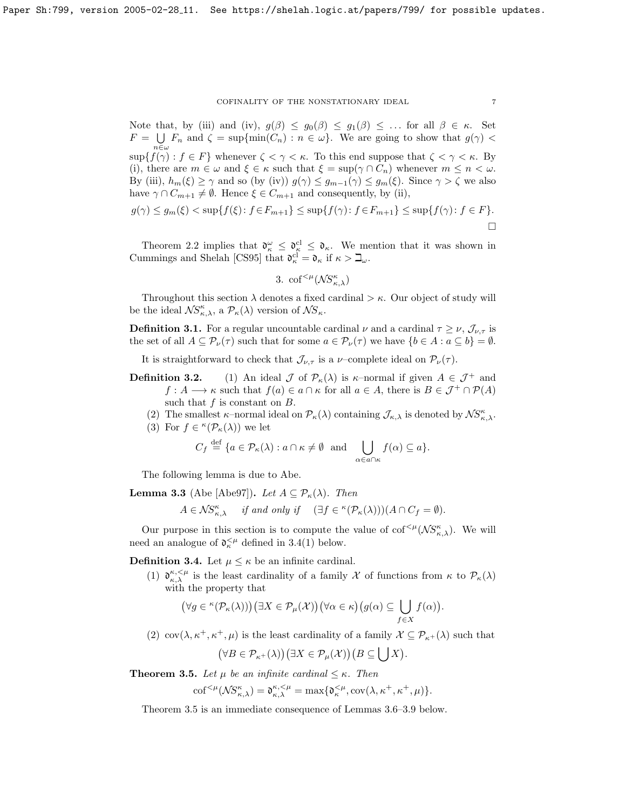Note that, by (iii) and (iv),  $g(\beta) \leq g_0(\beta) \leq g_1(\beta) \leq \ldots$  for all  $\beta \in \kappa$ . Set  $F = \bigcup F_n$  and  $\zeta = \sup\{\min(C_n) : n \in \omega\}$ . We are going to show that  $g(\gamma)$  $n\in\omega$  $\sup\{f(\gamma): f \in F\}$  whenever  $\zeta < \gamma < \kappa$ . To this end suppose that  $\zeta < \gamma < \kappa$ . By (i), there are  $m \in \omega$  and  $\xi \in \kappa$  such that  $\xi = \sup(\gamma \cap C_n)$  whenever  $m \leq n < \omega$ . By (iii),  $h_m(\xi) \geq \gamma$  and so (by (iv))  $g(\gamma) \leq g_{m-1}(\gamma) \leq g_m(\xi)$ . Since  $\gamma > \zeta$  we also have  $\gamma \cap C_{m+1} \neq \emptyset$ . Hence  $\xi \in C_{m+1}$  and consequently, by (ii),

$$
g(\gamma) \le g_m(\xi) < \sup\{f(\xi) \colon f \in F_{m+1}\} \le \sup\{f(\gamma) \colon f \in F_{m+1}\} \le \sup\{f(\gamma) \colon f \in F\}.
$$

Theorem [2.2](#page-5-0) implies that  $\mathfrak{d}_{\kappa}^{\omega} \leq \mathfrak{d}_{\kappa}^{\mathfrak{cl}} \leq \mathfrak{d}_{\kappa}$ . We mention that it was shown in Cummings and Shelah [\[CS95\]](#page-23-5) that  $\mathfrak{d}_{\kappa}^{cl} = \mathfrak{d}_{\kappa}$  if  $\kappa > \mathfrak{Q}_{\omega}$ .

3. 
$$
\mathrm{cof}^{<\mu}(\mathcal{NS}^{\kappa}_{\kappa,\lambda})
$$

Throughout this section  $\lambda$  denotes a fixed cardinal  $>\kappa$ . Our object of study will be the ideal  $\mathcal{NS}_{\kappa,\lambda}^{\kappa}$ , a  $\mathcal{P}_{\kappa}(\lambda)$  version of  $\mathcal{NS}_{\kappa}$ .

**Definition 3.1.** For a regular uncountable cardinal  $\nu$  and a cardinal  $\tau \geq \nu$ ,  $\mathcal{J}_{\nu,\tau}$  is the set of all  $A \subseteq \mathcal{P}_{\nu}(\tau)$  such that for some  $a \in \mathcal{P}_{\nu}(\tau)$  we have  $\{b \in A : a \subseteq b\} = \emptyset$ .

It is straightforward to check that  $\mathcal{J}_{\nu,\tau}$  is a  $\nu$ -complete ideal on  $\mathcal{P}_{\nu}(\tau)$ .

- **Definition 3.2.** (1) An ideal  $\mathcal{J}$  of  $\mathcal{P}_{\kappa}(\lambda)$  is  $\kappa$ -normal if given  $A \in \mathcal{J}^+$  and  $f: A \longrightarrow \kappa$  such that  $f(a) \in a \cap \kappa$  for all  $a \in A$ , there is  $B \in \mathcal{J}^+ \cap \mathcal{P}(A)$ such that  $f$  is constant on  $B$ .
	- (2) The smallest  $\kappa$ -normal ideal on  $\mathcal{P}_{\kappa}(\lambda)$  containing  $\mathcal{J}_{\kappa,\lambda}$  is denoted by  $\mathcal{NS}_{\kappa,\lambda}^{\kappa}$ .
	- (3) For  $f \in \kappa(\mathcal{P}_\kappa(\lambda))$  we let

$$
C_f \stackrel{\text{def}}{=} \{ a \in \mathcal{P}_\kappa(\lambda) : a \cap \kappa \neq \emptyset \text{ and } \bigcup_{\alpha \in a \cap \kappa} f(\alpha) \subseteq a \}.
$$

The following lemma is due to Abe.

<span id="page-6-2"></span>**Lemma 3.3** (Abe [\[Abe97\]](#page-23-6)). Let  $A \subseteq \mathcal{P}_{\kappa}(\lambda)$ . Then

$$
A \in \mathcal{NS}_{\kappa,\lambda}^{\kappa} \quad \text{if and only if} \quad (\exists f \in {^{\kappa}(\mathcal{P}_{\kappa}(\lambda))})(A \cap C_f = \emptyset).
$$

Our purpose in this section is to compute the value of  $\mathrm{cof}^{<\mu}(\mathcal{NS}_{\kappa,\lambda}^{\kappa})$ . We will need an analogue of  $\mathfrak{d}_{\kappa}^{\leq \mu}$  defined in [3.4\(](#page-6-0)1) below.

<span id="page-6-0"></span>**Definition 3.4.** Let  $\mu \leq \kappa$  be an infinite cardinal.

(1)  $\mathfrak{d}_{\kappa,\lambda}^{\kappa,<\mu}$  is the least cardinality of a family X of functions from  $\kappa$  to  $\mathcal{P}_{\kappa}(\lambda)$ with the property that

$$
(\forall g \in {}^{\kappa}(\mathcal{P}_{\kappa}(\lambda))) (\exists X \in \mathcal{P}_{\mu}(\mathcal{X})) (\forall \alpha \in \kappa) (g(\alpha) \subseteq \bigcup_{f \in X} f(\alpha)).
$$

(2) cov $(\lambda, \kappa^+, \kappa^+, \mu)$  is the least cardinality of a family  $\mathcal{X} \subseteq \mathcal{P}_{\kappa^+}(\lambda)$  such that

.

$$
(\forall B \in \mathcal{P}_{\kappa^+}(\lambda)) (\exists X \in \mathcal{P}_{\mu}(\mathcal{X})) (B \subseteq \bigcup X)
$$

<span id="page-6-1"></span>**Theorem 3.5.** Let  $\mu$  be an infinite cardinal  $\leq \kappa$ . Then

$$
\mathrm{cof}^{<\mu}(\mathcal{NS}_{\kappa,\lambda}^{\kappa})=\mathfrak{d}_{\kappa,\lambda}^{\kappa,<\mu}=\max\{\mathfrak{d}_{\kappa}^{<\mu},\mathrm{cov}(\lambda,\kappa^{+},\kappa^{+},\mu)\}.
$$

Theorem [3.5](#page-6-1) is an immediate consequence of Lemmas [3.6–](#page-7-0)[3.9](#page-7-1) below.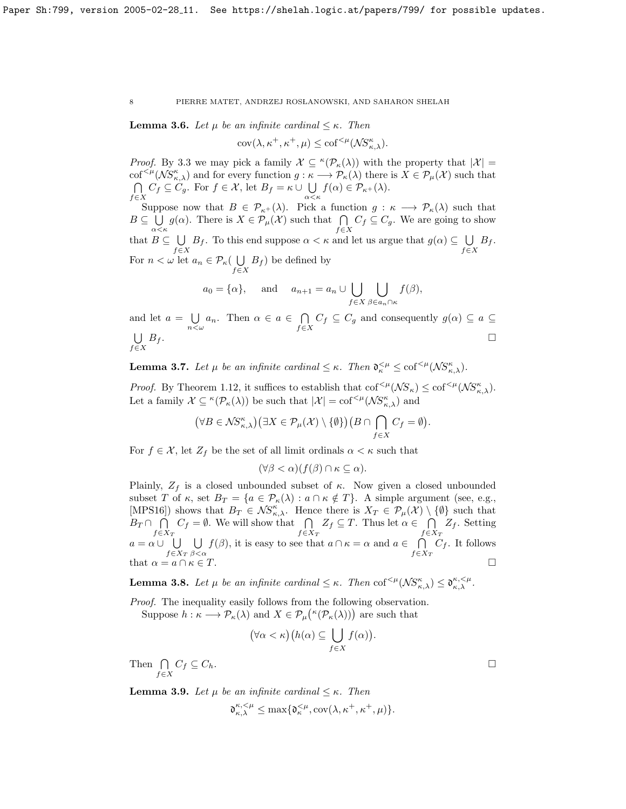<span id="page-7-0"></span>**Lemma 3.6.** Let  $\mu$  be an infinite cardinal  $\leq \kappa$ . Then

$$
cov(\lambda, \kappa^+, \kappa^+, \mu) \leq cof^{<\mu}(\mathcal{NS}_{\kappa,\lambda}^{\kappa}).
$$

*Proof.* By [3.3](#page-6-2) we may pick a family  $\mathcal{X} \subseteq \kappa(\mathcal{P}_{\kappa}(\lambda))$  with the property that  $|\mathcal{X}| =$  $\text{cof}^{<\mu}(\mathcal{NS}_{\kappa,\lambda}^{\kappa})$  and for every function  $g:\kappa\longrightarrow \mathcal{P}_{\kappa}(\lambda)$  there is  $X\in \mathcal{P}_{\mu}(\mathcal{X})$  such that  $\cap$  $\bigcap_{f\in X} C_f \subseteq C_g$ . For  $f \in \mathcal{X}$ , let  $B_f = \kappa \cup \bigcup_{\alpha < \kappa}$  $\bigcup_{\alpha < \kappa} f(\alpha) \in \mathcal{P}_{\kappa+}(\lambda).$ 

Suppose now that  $B \in \mathcal{P}_{\kappa^+}(\lambda)$ . Pick a function  $g : \kappa \longrightarrow \mathcal{P}_{\kappa}(\lambda)$  such that  $B\subseteq\bigcup$  $\bigcup_{\alpha<\kappa} g(\alpha)$ . There is  $X \in \mathcal{P}_{\mu}(\mathcal{X})$  such that  $\bigcap_{f \in X} C_f \subseteq C_g$ . We are going to show that  $B \subseteq \bigcup$  $\bigcup_{f\in X} B_f$ . To this end suppose  $\alpha < \kappa$  and let us argue that  $g(\alpha) \subseteq \bigcup_{f\in X}$  $\bigcup_{f\in X}B_f.$ For  $n < \omega$  let  $a_n \in \mathcal{P}_\kappa$   $\cup$  $\bigcup_{f \in X} B_f$  be defined by

$$
a_0 = {\alpha}
$$
, and  $a_{n+1} = a_n \cup \bigcup_{f \in X} \bigcup_{\beta \in a_n \cap \kappa} f(\beta)$ ,

and let  $a = \bigcup$  $\bigcup_{n<\omega} a_n$ . Then  $\alpha \in a \in \bigcap_{f \in \mathcal{F}}$  $\bigcap_{f\in X} C_f \subseteq C_g$  and consequently  $g(\alpha) \subseteq a \subseteq$ U  $f \in X$  $B_f$ .

**Lemma 3.7.** Let  $\mu$  be an infinite cardinal  $\leq \kappa$ . Then  $\mathfrak{d}_{\kappa}^{<\mu} \leq \text{cof}^{<\mu}(\mathcal{NS}_{\kappa,\lambda}^{\kappa})$ .

*Proof.* By Theorem [1.12,](#page-4-0) it suffices to establish that  $\text{cof}^{<\mu}(\mathcal{NS}_{\kappa}) \leq \text{cof}^{<\mu}(\mathcal{NS}_{\kappa,\lambda})$ . Let a family  $\mathcal{X} \subseteq \kappa(\mathcal{P}_\kappa(\lambda))$  be such that  $|\mathcal{X}| = \text{cof}^{<\mu}(\mathcal{NS}_{\kappa,\lambda}^{\kappa})$  and

$$
(\forall B\in \mathcal{NS}_{\kappa,\lambda}^{\kappa})(\exists X\in \mathcal{P}_{\mu}(\mathcal{X})\setminus\{\emptyset\}\big)(B\cap\bigcap_{f\in X}C_f=\emptyset).
$$

For  $f \in \mathcal{X}$ , let  $Z_f$  be the set of all limit ordinals  $\alpha < \kappa$  such that

$$
(\forall \beta < \alpha)(f(\beta) \cap \kappa \subseteq \alpha).
$$

Plainly,  $Z_f$  is a closed unbounded subset of  $\kappa$ . Now given a closed unbounded subset T of  $\kappa$ , set  $B_T = \{a \in \mathcal{P}_\kappa(\lambda) : a \cap \kappa \notin T\}$ . A simple argument (see, e.g., [\[MPS16\]](#page-23-1)) shows that  $B_T \in \mathcal{NS}_{\kappa,\lambda}^{\kappa}$ . Hence there is  $X_T \in \mathcal{P}_{\mu}(\mathcal{X}) \setminus \{\emptyset\}$  such that  $B_T \cap \bigcap$  $f \in X_T$  $C_f = \emptyset$ . We will show that  $\bigcap$  $f \in X_T$  $Z_f \subseteq T$ . Thus let  $\alpha \in \bigcap$  $f \in X_T$  $Z_f$ . Setting  $a = \alpha \cup \bigcup$  $f \in X_T$ U  $\beta < \alpha$  $f(\beta)$ , it is easy to see that  $a \cap \kappa = \alpha$  and  $a \in \bigcap$  $f \in X_T$  $C_f$ . It follows that  $\alpha = a \cap \kappa \in T$ .

**Lemma 3.8.** Let  $\mu$  be an infinite cardinal  $\leq \kappa$ . Then  $\text{cof}^{<\mu}(\mathcal{NS}_{\kappa,\lambda}^{\kappa}) \leq \mathfrak{d}_{\kappa,\lambda}^{\kappa,<\mu}$ .

Proof. The inequality easily follows from the following observation. Suppose  $h : \kappa \longrightarrow \mathcal{P}_{\kappa}(\lambda)$  and  $X \in \mathcal{P}_{\mu}(\kappa(\mathcal{P}_{\kappa}(\lambda)))$  are such that

$$
(\forall \alpha < \kappa)(h(\alpha) \subseteq \bigcup_{f \in X} f(\alpha)).
$$

Then  $\bigcap$  $\bigcap_{f\in X} C_f \subseteq C_h.$ 

<span id="page-7-1"></span>**Lemma 3.9.** Let  $\mu$  be an infinite cardinal  $\leq \kappa$ . Then

 $\mathfrak{d}_{\kappa,\lambda}^{\kappa,<\mu} \leq \max\{\mathfrak{d}_{\kappa}^{<\mu}, \mathrm{cov}(\lambda,\kappa^+,\kappa^+,\mu)\}.$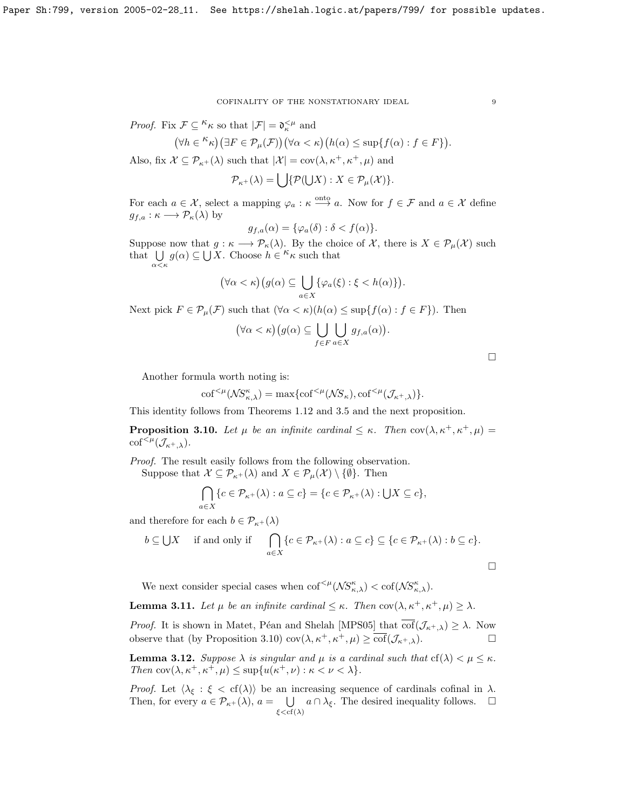*Proof.* Fix  $\mathcal{F} \subseteq {}^{\kappa} \kappa$  so that  $|\mathcal{F}| = \mathfrak{d}_{\kappa}^{\leq \mu}$  and

$$
(\forall h \in {}^{\kappa}\kappa)(\exists F \in \mathcal{P}_{\mu}(\mathcal{F}))(\forall \alpha < \kappa)(h(\alpha) \leq \sup\{f(\alpha) : f \in F\}).
$$

Also, fix  $\mathcal{X} \subseteq \mathcal{P}_{\kappa+}(\lambda)$  such that  $|\mathcal{X}| = \text{cov}(\lambda, \kappa^+, \kappa^+, \mu)$  and

 $\mathcal{P}_{\kappa^+}(\lambda) = \bigcup \{ \mathcal{P}(\bigcup X) : X \in \mathcal{P}_{\mu}(\mathcal{X}) \}.$ 

For each  $a \in \mathcal{X}$ , select a mapping  $\varphi_a : \kappa \stackrel{\text{onto}}{\longrightarrow} a$ . Now for  $f \in \mathcal{F}$  and  $a \in \mathcal{X}$  define  $g_{f,a} : \kappa \longrightarrow \mathcal{P}_{\kappa}(\lambda)$  by

$$
g_{f,a}(\alpha) = \{\varphi_a(\delta) : \delta < f(\alpha)\}.
$$

Suppose now that  $g : \kappa \longrightarrow \mathcal{P}_{\kappa}(\lambda)$ . By the choice of X, there is  $X \in \mathcal{P}_{\mu}(\mathcal{X})$  such that  $\bigcup_{\alpha < \kappa} g(\alpha) \subseteq \bigcup_{X} X$ . Choose  $h \in \kappa_{\kappa}$  such that

$$
(\forall \alpha < \kappa)(g(\alpha) \subseteq \bigcup_{a \in X} \{\varphi_a(\xi) : \xi < h(\alpha)\}).
$$

Next pick  $F \in \mathcal{P}_{\mu}(\mathcal{F})$  such that  $(\forall \alpha < \kappa)(h(\alpha) \leq \sup\{f(\alpha) : f \in F\})$ . Then

$$
(\forall \alpha < \kappa) \big(g(\alpha) \subseteq \bigcup_{f \in F} \bigcup_{a \in X} g_{f,a}(\alpha)\big).
$$

Another formula worth noting is:

$$
\mathrm{cof}^{<\mu}(\mathcal{NS}_{\kappa,\lambda}^{\kappa}) = \max\{\mathrm{cof}^{<\mu}(\mathcal{NS}_{\kappa}), \mathrm{cof}^{<\mu}(\mathcal{J}_{\kappa^+,\lambda})\}.
$$

This identity follows from Theorems [1.12](#page-4-0) and [3.5](#page-6-1) and the next proposition.

<span id="page-8-0"></span>**Proposition 3.10.** Let  $\mu$  be an infinite cardinal  $\leq \kappa$ . Then cov $(\lambda, \kappa^+, \kappa^+, \mu)$  $\mathrm{cof}^{<\mu}(\mathcal{J}_{\kappa^+,\lambda}).$ 

Proof. The result easily follows from the following observation.

Suppose that  $\mathcal{X} \subseteq \mathcal{P}_{\kappa+}(\lambda)$  and  $X \in \mathcal{P}_{\mu}(\mathcal{X}) \setminus \{\emptyset\}$ . Then

$$
\bigcap_{a\in X} \{c \in \mathcal{P}_{\kappa+}(\lambda) : a \subseteq c\} = \{c \in \mathcal{P}_{\kappa+}(\lambda) : \bigcup X \subseteq c\},\
$$

and therefore for each  $b \in \mathcal{P}_{\kappa+}(\lambda)$ 

$$
b \subseteq \bigcup X \quad \text{ if and only if } \quad \bigcap_{a \in X} \{c \in \mathcal{P}_{\kappa^+}(\lambda) : a \subseteq c\} \subseteq \{c \in \mathcal{P}_{\kappa^+}(\lambda) : b \subseteq c\}.
$$

We next consider special cases when  $\text{cof}^{<\mu}(\mathcal{NS}_{\kappa,\lambda}^{\kappa}) < \text{cof}(\mathcal{NS}_{\kappa,\lambda}^{\kappa}).$ 

<span id="page-8-1"></span>**Lemma 3.11.** Let  $\mu$  be an infinite cardinal  $\leq \kappa$ . Then cov $(\lambda, \kappa^+, \kappa^+, \mu) \geq \lambda$ .

*Proof.* It is shown in Matet, Péan and Shelah [\[MPS05\]](#page-23-7) that  $\overline{\text{cof}}(\mathcal{J}_{\kappa^+, \lambda}) \geq \lambda$ . Now observe that (by Proposition [3.10\)](#page-8-0)  $\text{cov}(\lambda, \kappa^+, \kappa^+, \mu) \geq \text{cof}(\mathcal{J}_{\kappa^+, \lambda}).$ 

<span id="page-8-2"></span>**Lemma 3.12.** Suppose  $\lambda$  is singular and  $\mu$  is a cardinal such that  $cf(\lambda) < \mu \leq \kappa$ . Then  $\text{cov}(\lambda, \kappa^+, \kappa^+, \mu) \leq \sup\{u(\kappa^+, \nu) : \kappa < \nu < \lambda\}.$ 

*Proof.* Let  $\langle \lambda_{\xi} : \xi < \text{cf}(\lambda) \rangle$  be an increasing sequence of cardinals cofinal in  $\lambda$ . Then, for every  $a \in \mathcal{P}_{\kappa^+}(\lambda)$ ,  $a = \bigcup$  $\bigcup_{\xi < \text{cf}(\lambda)} a \cap \lambda_{\xi}$ . The desired inequality follows.  $\square$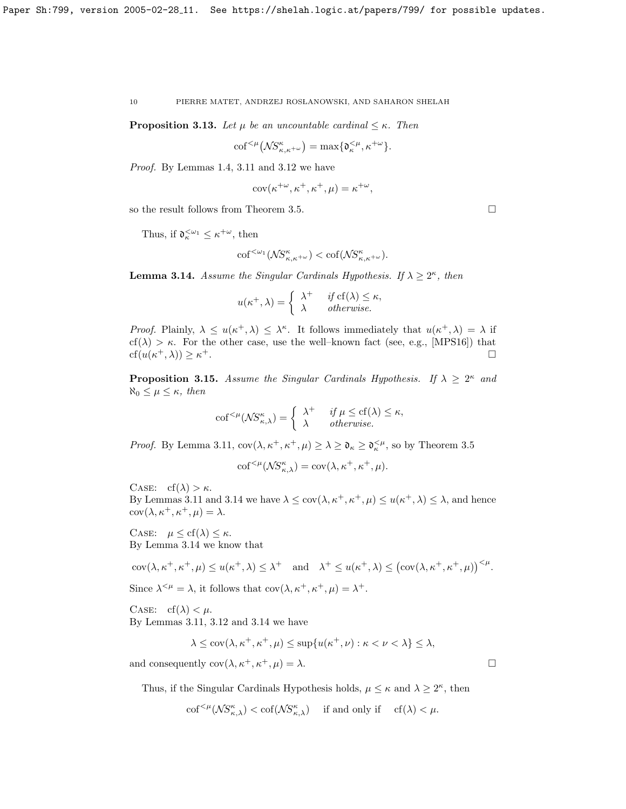**Proposition 3.13.** Let  $\mu$  be an uncountable cardinal  $\leq \kappa$ . Then

$$
\mathrm{cof}^{<\mu}\big(\mathcal{NS}^\kappa_{\kappa,\kappa^{+\omega}}\big)=\max\{\mathfrak{d}^{<\mu}_{\kappa},\kappa^{+\omega}\}.
$$

Proof. By Lemmas [1.4,](#page-2-0) [3.11](#page-8-1) and [3.12](#page-8-2) we have

$$
cov(\kappa^{+\omega}, \kappa^+, \kappa^+, \mu) = \kappa^{+\omega},
$$

so the result follows from Theorem [3.5.](#page-6-1)

Thus, if  $\mathfrak{d}_{\kappa}^{\leq \omega_1} \leq \kappa^{+\omega}$ , then

$$
\mathrm{cof}^{<\omega_1}(\mathcal{N}S^{\kappa}_{\kappa,\kappa+\omega}) < \mathrm{cof}(\mathcal{N}S^{\kappa}_{\kappa,\kappa+\omega}).
$$

<span id="page-9-0"></span>**Lemma 3.14.** Assume the Singular Cardinals Hypothesis. If  $\lambda \geq 2^{\kappa}$ , then

$$
u(\kappa^+, \lambda) = \begin{cases} \lambda^+ & \text{if } \text{cf}(\lambda) \leq \kappa, \\ \lambda & \text{otherwise.} \end{cases}
$$

Proof. Plainly,  $\lambda \leq u(\kappa^+, \lambda) \leq \lambda^{\kappa}$ . It follows immediately that  $u(\kappa^+, \lambda) = \lambda$  if cf( $\lambda$ ) >  $\kappa$ . For the other case, use the well-known fact (see, e.g., [\[MPS16\]](#page-23-1)) that  $cf(u(\kappa^+,\lambda)) \geq \kappa$ <sup>+</sup>.

**Proposition 3.15.** Assume the Singular Cardinals Hypothesis. If  $\lambda \geq 2^{\kappa}$  and  $\aleph_0 \leq \mu \leq \kappa$ , then

$$
\mathrm{cof}^{<\mu}(\mathcal{NS}^{\kappa}_{\kappa,\lambda}) = \begin{cases} \lambda^+ & \text{if } \mu \leq \mathrm{cf}(\lambda) \leq \kappa, \\ \lambda & \text{otherwise.} \end{cases}
$$

*Proof.* By Lemma [3.11,](#page-8-1)  $cov(\lambda, \kappa^+, \kappa^+, \mu) \geq \lambda \geq \mathfrak{d}_{\kappa} \geq \mathfrak{d}_{\kappa}^{<\mu}$ , so by Theorem [3.5](#page-6-1)

$$
\mathrm{cof}^{<\mu}(\mathcal{NS}^\kappa_{\kappa,\lambda}) = \mathrm{cov}(\lambda,\kappa^+,\kappa^+,\mu).
$$

CASE:  $cf(\lambda) > \kappa$ .

By Lemmas [3.11](#page-8-1) and [3.14](#page-9-0) we have  $\lambda \leq \text{cov}(\lambda, \kappa^+, \kappa^+, \mu) \leq u(\kappa^+, \lambda) \leq \lambda$ , and hence  $cov(\lambda, \kappa^+, \kappa^+, \mu) = \lambda.$ 

CASE:  $\mu \leq cf(\lambda) \leq \kappa$ . By Lemma [3.14](#page-9-0) we know that

$$
cov(\lambda, \kappa^+, \kappa^+, \mu) \le u(\kappa^+, \lambda) \le \lambda^+ \quad \text{and} \quad \lambda^+ \le u(\kappa^+, \lambda) \le (\text{cov}(\lambda, \kappa^+, \kappa^+, \mu))^{<\mu}.
$$

Since  $\lambda^{<\mu} = \lambda$ , it follows that  $cov(\lambda, \kappa^+, \kappa^+, \mu) = \lambda^+$ .

CASE:  $cf(\lambda) < \mu$ . By Lemmas [3.11,](#page-8-1) [3.12](#page-8-2) and [3.14](#page-9-0) we have

$$
\lambda \leq \operatorname{cov}(\lambda, \kappa^+, \kappa^+, \mu) \leq \sup \{ u(\kappa^+, \nu) : \kappa < \nu < \lambda \} \leq \lambda,
$$

and consequently  $cov(\lambda, \kappa^+, \kappa^+, \mu) = \lambda$ .

Thus, if the Singular Cardinals Hypothesis holds,  $\mu \leq \kappa$  and  $\lambda \geq 2^{\kappa}$ , then

$$
\mathrm{cof}^{<\mu}(\mathcal{NS}_{\kappa,\lambda}^{\kappa}) < \mathrm{cof}(\mathcal{NS}_{\kappa,\lambda}^{\kappa}) \quad \text{ if and only if } \quad \mathrm{cf}(\lambda) < \mu.
$$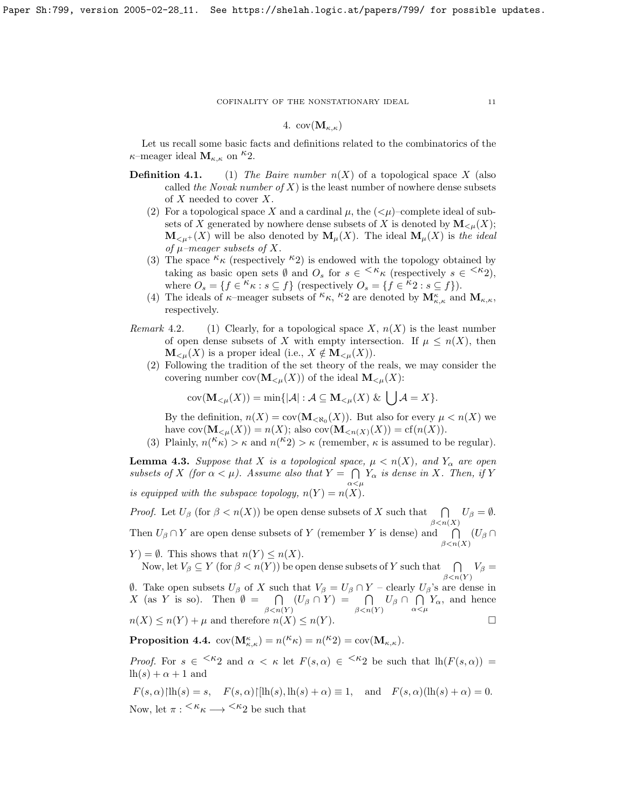# 4.  $cov(\mathbf{M}_{\kappa,\kappa})$

Let us recall some basic facts and definitions related to the combinatorics of the  $\kappa$ –meager ideal  $\mathbf{M}_{\kappa,\kappa}$  on  $^{\kappa}2$ .

- **Definition 4.1.** (1) The Baire number  $n(X)$  of a topological space X (also called the Novak number of X) is the least number of nowhere dense subsets of  $X$  needed to cover  $X$ .
	- (2) For a topological space X and a cardinal  $\mu$ , the  $( $\mu$ )-complete ideal of sub$ sets of X generated by nowhere dense subsets of X is denoted by  $\mathbf{M}_{\leq \mu}(X)$ ;  $\mathbf{M}_{\leq \mu^+}(X)$  will be also denoted by  $\mathbf{M}_{\mu}(X)$ . The ideal  $\mathbf{M}_{\mu}(X)$  is the ideal of  $\mu$ -meager subsets of X.
	- (3) The space  $\kappa_{\kappa}$  (respectively  $\kappa_{2}$ ) is endowed with the topology obtained by taking as basic open sets  $\emptyset$  and  $O_s$  for  $s \in \langle k \kappa \rangle$  (respectively  $s \in \langle k \kappa \rangle$ ), where  $O_s = \{f \in \kappa \: : \: s \subseteq f\}$  (respectively  $O_s = \{\hat{f} \in \kappa \: : \: s \subseteq f\}$ ).
	- (4) The ideals of  $\kappa$ –meager subsets of  $\kappa_{\kappa}$ ,  $\kappa_{2}$  are denoted by  $\mathbf{M}_{\kappa,\kappa}$  and  $\mathbf{M}_{\kappa,\kappa}$ , respectively.
- Remark 4.2. (1) Clearly, for a topological space X,  $n(X)$  is the least number of open dense subsets of X with empty intersection. If  $\mu \leq n(X)$ , then  $\mathbf{M}_{\leq \mu}(X)$  is a proper ideal (i.e.,  $X \notin \mathbf{M}_{\leq \mu}(X)$ ).
	- (2) Following the tradition of the set theory of the reals, we may consider the covering number  $cov(\mathbf{M}_{\leq \mu}(X))$  of the ideal  $\mathbf{M}_{\leq \mu}(X)$ :

$$
cov(\mathbf{M}_{\leq \mu}(X)) = \min\{|\mathcal{A}| : \mathcal{A} \subseteq \mathbf{M}_{\leq \mu}(X) \& [|\mathcal{A}| = X\}.
$$

By the definition,  $n(X) = cov(M_{\langle X_0 \rangle}(X))$ . But also for every  $\mu < n(X)$  we have  $cov(\mathbf{M}_{\leq \mu}(X)) = n(X)$ ; also  $cov(\mathbf{M}_{\leq n(X)}(X)) = cf(n(X)).$ 

(3) Plainly,  $n(K_{\kappa}) > \kappa$  and  $n(K_2) > \kappa$  (remember,  $\kappa$  is assumed to be regular).

<span id="page-10-0"></span>**Lemma 4.3.** Suppose that X is a topological space,  $\mu < n(X)$ , and  $Y_{\alpha}$  are open subsets of X (for  $\alpha < \mu$ ). Assume also that  $Y = \bigcap$  $\bigcap_{\alpha<\mu}Y_{\alpha}$  is dense in X. Then, if Y is equipped with the subspace topology,  $n(Y) = n(X)$ .

*Proof.* Let  $U_\beta$  (for  $\beta < n(X)$ ) be open dense subsets of X such that  $\bigcap_{\beta < n(X)} U_\beta = \emptyset$ . Then  $U_\beta \cap Y$  are open dense subsets of Y (remember Y is dense) and  $\bigcap (U_\beta \cap Y)$  $\beta < n(X)$ 

 $Y$ ) =  $\emptyset$ . This shows that  $n(Y) \leq n(X)$ . Now, let  $V_\beta \subseteq Y$  (for  $\beta < n(Y)$ ) be open dense subsets of Y such that  $\bigcap_{\beta < n(Y)} V_\beta =$ 

 $θ$ . Take open subsets  $U_β$  of X such that  $V_β = U_β ∩ Y -$  clearly  $U_β$ 's are dense in  $X$  (as Y is so). Then  $\emptyset = \bigcap$  $\bigcap_{\beta < n(Y)} (U_{\beta} \cap Y) = \bigcap_{\beta < n(Y)} U_{\beta} \cap \bigcap_{\alpha < n(Y)}$  $\bigcap_{\alpha<\mu}Y_{\alpha}$ , and hence  $n(X) \leq n(Y) + \mu$  and therefore  $n(X) \leq n(Y)$ .

<span id="page-10-1"></span>Proposition 4.4.  $cov(\mathbf{M}_{\kappa,\kappa}^{\kappa}) = n({}^{\kappa}\kappa) = n({}^{\kappa}2) = cov(\mathbf{M}_{\kappa,\kappa}).$ 

*Proof.* For  $s \in \langle k_2 \rangle$  and  $\alpha \leq \kappa$  let  $F(s,\alpha) \in \langle k_2 \rangle$  be such that  $\ln(F(s,\alpha)) =$  $lh(s)+\alpha+1$  and

$$
F(s,\alpha)\{\ln(s) = s, \quad F(s,\alpha)\{\ln(s),\ln(s) + \alpha\} \equiv 1, \quad \text{and} \quad F(s,\alpha)(\ln(s) + \alpha) = 0.
$$
  
Now, let  $\pi : \langle K_{\kappa} \longrightarrow \langle K_2 \rangle$  be such that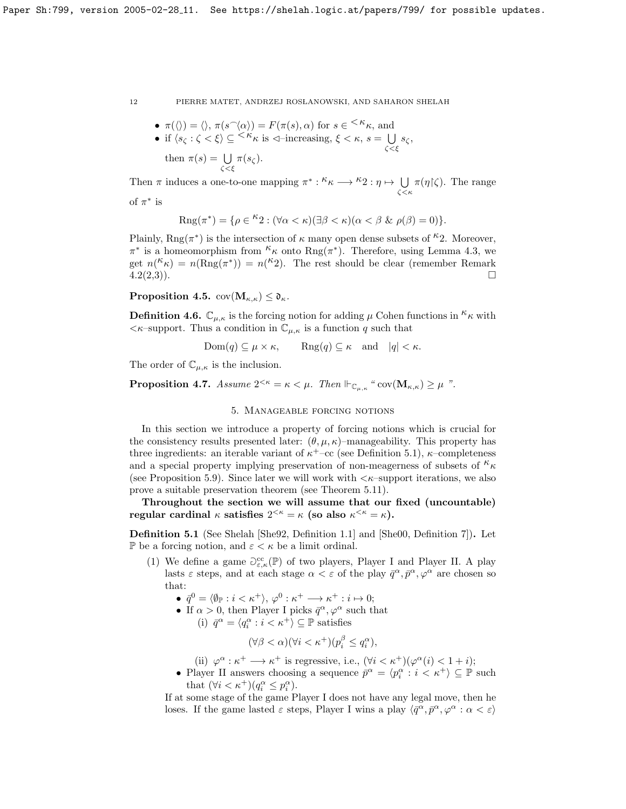\n- \n
$$
\pi(\langle \rangle) = \langle \rangle, \pi(s^\frown \langle \alpha \rangle) = F(\pi(s), \alpha)
$$
 for  $s \in \langle \kappa, \chi \rangle$  and\n
\n- \n if  $\langle s_\zeta : \zeta < \xi \rangle \subseteq \langle \kappa, \chi \rangle$  is  $\langle \chi \rangle$ -increasing,  $\xi < \kappa, s = \bigcup_{\zeta < \xi} s_\zeta$ , then  $\pi(s) = \bigcup_{\zeta < \xi} \pi(s_\zeta)$ .\n
\n

Then  $\pi$  induces a one-to-one mapping  $\pi^* : \kappa \mapsto \kappa_2 : \eta \mapsto \bigcup$ ζ<κ  $\pi(\eta(\zeta))$ . The range of  $\pi^*$  is

$$
\mathbf{r} \quad \mathbf{r}
$$

$$
Rng(\pi^*) = \{ \rho \in {}^{\kappa}2 : (\forall \alpha < \kappa)(\exists \beta < \kappa)(\alpha < \beta \& \rho(\beta) = 0) \}.
$$

Plainly,  $\text{Rng}(\pi^*)$  is the intersection of  $\kappa$  many open dense subsets of <sup> $\kappa$ </sup>2. Moreover,  $\pi^*$  is a homeomorphism from  ${}^{\kappa}\kappa$  onto  $\text{Rng}(\pi^*)$ . Therefore, using Lemma [4.3,](#page-10-0) we get  $n(K_{\kappa}) = n(Rng(\pi^*)) = n(K_2)$ . The rest should be clear (remember Remark  $\overline{4.2(2,3)}$  $\overline{4.2(2,3)}$  $\overline{4.2(2,3)}$ .

<span id="page-11-1"></span>**Proposition 4.5.**  $cov(M_{\kappa,\kappa}) \leq \mathfrak{d}_{\kappa}$ .

**Definition 4.6.**  $\mathbb{C}_{\mu,\kappa}$  is the forcing notion for adding  $\mu$  Cohen functions in  ${}^{\kappa}\kappa$  with  $\langle \kappa$ -support. Thus a condition in  $\mathbb{C}_{\mu,\kappa}$  is a function q such that

 $Dom(q) \subseteq \mu \times \kappa$ , Rng $(q) \subseteq \kappa$  and  $|q| < \kappa$ .

The order of  $\mathbb{C}_{\mu,\kappa}$  is the inclusion.

**Proposition 4.7.** Assume  $2^{<\kappa} = \kappa < \mu$ . Then  $\Vdash_{\mathbb{C}_{\mu,\kappa}}$  " $cov(\mathbf{M}_{\kappa,\kappa}) \geq \mu$ ".

# 5. Manageable forcing notions

In this section we introduce a property of forcing notions which is crucial for the consistency results presented later:  $(\theta, \mu, \kappa)$ –manageability. This property has three ingredients: an iterable variant of  $\kappa^+$ –cc (see Definition [5.1\)](#page-11-0),  $\kappa$ –completeness and a special property implying preservation of non-meagerness of subsets of  $\kappa_{\kappa}$ (see Proposition [5.9\)](#page-13-0). Since later we will work with  $\lt \kappa$ –support iterations, we also prove a suitable preservation theorem (see Theorem [5.11\)](#page-14-0).

Throughout the section we will assume that our fixed (uncountable) regular cardinal  $\kappa$  satisfies  $2^{<\kappa} = \kappa$  (so also  $\kappa^{<\kappa} = \kappa$ ).

<span id="page-11-0"></span>Definition 5.1 (See Shelah [\[She92,](#page-23-8) Definition 1.1] and [\[She00,](#page-23-9) Definition 7]). Let P be a forcing notion, and  $\varepsilon < \kappa$  be a limit ordinal.

(1) We define a game  $\partial_{\varepsilon,\kappa}^{cc}(\mathbb{P})$  of two players, Player I and Player II. A play lasts  $\varepsilon$  steps, and at each stage  $\alpha < \varepsilon$  of the play  $\bar{q}^{\alpha}, \bar{p}^{\alpha}, \varphi^{\alpha}$  are chosen so that:

 $\bullet \ \bar q^0 = \langle \emptyset_{\mathbb{P}} : i < \kappa^+ \rangle, \, \varphi^0 : \kappa^+ \longrightarrow \kappa^+ : i \mapsto 0;$ 

- If  $\alpha > 0$ , then Player I picks  $\bar{q}^{\alpha}, \varphi^{\alpha}$  such that
	- (i)  $\bar{q}^{\alpha} = \langle q_i^{\alpha} : i < \kappa^+ \rangle \subseteq \mathbb{P}$  satisfies

$$
(\forall \beta < \alpha)(\forall i < \kappa^+)(p_i^{\beta} \le q_i^{\alpha}),
$$

(ii)  $\varphi^{\alpha} : \kappa^+ \longrightarrow \kappa^+$  is regressive, i.e.,  $(\forall i < \kappa^+)(\varphi^{\alpha}(i) < 1 + i);$ 

• Player II answers choosing a sequence  $\bar{p}^{\alpha} = \langle p_i^{\alpha} : i \langle \kappa^+ \rangle \subseteq \mathbb{P}$  such that  $(\forall i < \kappa^+)(q_i^{\alpha} \leq p_i^{\alpha})$ .

If at some stage of the game Player I does not have any legal move, then he loses. If the game lasted  $\varepsilon$  steps, Player I wins a play  $\langle \bar{q}^{\alpha}, \bar{p}^{\alpha}, \varphi^{\alpha} : \alpha < \varepsilon \rangle$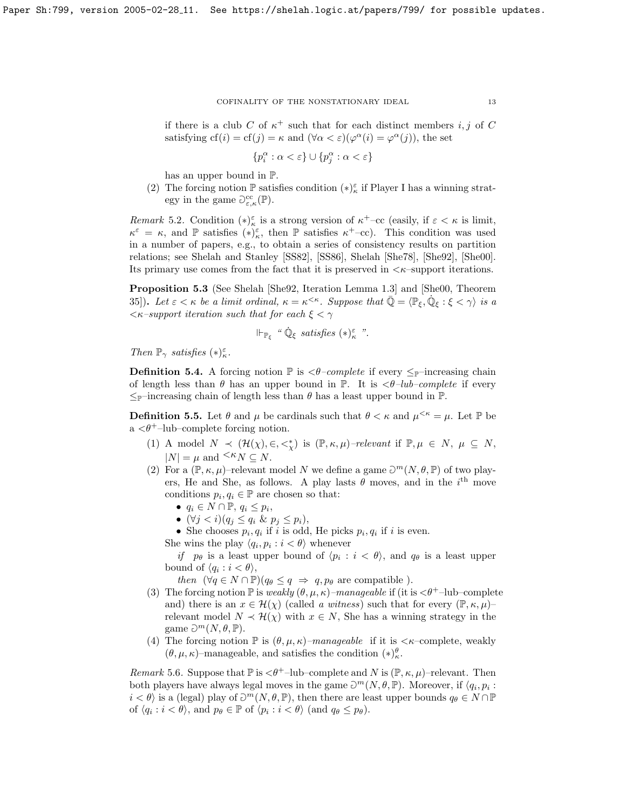if there is a club C of  $\kappa^+$  such that for each distinct members i, j of C satisfying  $cf(i) = cf(j) = \kappa$  and  $(\forall \alpha < \varepsilon)(\varphi^{\alpha}(i) = \varphi^{\alpha}(j))$ , the set

$$
\{p_i^{\alpha} : \alpha < \varepsilon\} \cup \{p_j^{\alpha} : \alpha < \varepsilon\}
$$

has an upper bound in P.

(2) The forcing notion  $\mathbb P$  satisfies condition  $(*)_\kappa^{\varepsilon}$  if Player I has a winning strategy in the game  $\mathcal{O}^{\text{cc}}_{\varepsilon,\kappa}(\mathbb{P}).$ 

Remark 5.2. Condition  $(*)_{\kappa}^{\varepsilon}$  is a strong version of  $\kappa^+$ -cc (easily, if  $\varepsilon < \kappa$  is limit,  $\kappa^{\varepsilon} = \kappa$ , and P satisfies  $(*)_{\kappa}^{\varepsilon}$ , then P satisfies  $\kappa^+$ -cc). This condition was used in a number of papers, e.g., to obtain a series of consistency results on partition relations; see Shelah and Stanley [\[SS82\]](#page-23-10), [\[SS86\]](#page-24-0), Shelah [\[She78\]](#page-23-11), [\[She92\]](#page-23-8), [\[She00\]](#page-23-9). Its primary use comes from the fact that it is preserved in  $\lt k$ -support iterations.

<span id="page-12-0"></span>Proposition 5.3 (See Shelah [\[She92,](#page-23-8) Iteration Lemma 1.3] and [\[She00,](#page-23-9) Theorem 35]). Let  $\varepsilon < \kappa$  be a limit ordinal,  $\kappa = \kappa^{<\kappa}$ . Suppose that  $\overline{\mathbb{Q}} = \langle \mathbb{P}_{\xi}, \mathbb{Q}_{\xi} : \xi < \gamma \rangle$  is a  $\langle \kappa$ -support iteration such that for each  $\xi < \gamma$ 

$$
\Vdash_{\mathbb{P}_{\xi}} \text{``}\dot{\mathbb{Q}}_{\xi} \text{ satisfies } (\ast)^{\varepsilon}_{\kappa} \text{''}.
$$

Then  $\mathbb{P}_{\gamma}$  satisfies  $(*)_\kappa^{\varepsilon}$ .

**Definition 5.4.** A forcing notion  $\mathbb{P}$  is  $\langle \theta$ -complete if every  $\leq_{\mathbb{P}}$ -increasing chain of length less than  $\theta$  has an upper bound in  $\mathbb{P}$ . It is  $\langle \theta$ -lub-complete if every  $\leq_{\mathbb{P}}$ -increasing chain of length less than  $\theta$  has a least upper bound in  $\mathbb{P}$ .

**Definition 5.5.** Let  $\theta$  and  $\mu$  be cardinals such that  $\theta < \kappa$  and  $\mu^{<\kappa} = \mu$ . Let  $\mathbb{P}$  be a  $\langle \theta^+$ -lub-complete forcing notion.

- (1) A model  $N \prec (\mathcal{H}(\chi), \in, \leq^*_{\chi})$  is  $(\mathbb{P}, \kappa, \mu)$ -relevant if  $\mathbb{P}, \mu \in N, \mu \subseteq N$ ,  $|N| = \mu$  and  $\leq K_N \subset N$ .
- (2) For a  $(\mathbb{P}, \kappa, \mu)$ -relevant model N we define a game  $\mathcal{D}^m(N, \theta, \mathbb{P})$  of two players, He and She, as follows. A play lasts  $\theta$  moves, and in the i<sup>th</sup> move conditions  $p_i, q_i \in \mathbb{P}$  are chosen so that:
	- $q_i \in N \cap \mathbb{P}, q_i \leq p_i$
	- $(\forall j < i)(q_j \leq q_i \& p_j \leq p_i),$
	- She chooses  $p_i, q_i$  if i is odd, He picks  $p_i, q_i$  if i is even.

She wins the play  $\langle q_i, p_i : i < \theta \rangle$  whenever

if  $p_{\theta}$  is a least upper bound of  $\langle p_i : i < \theta \rangle$ , and  $q_{\theta}$  is a least upper bound of  $\langle q_i : i < \theta \rangle$ ,

then  $(\forall q \in N \cap \mathbb{P})(q_{\theta} \leq q \Rightarrow q, p_{\theta} \text{ are compatible}).$ 

- (3) The forcing notion  $\mathbb P$  is weakly  $(\theta, \mu, \kappa)$ –manageable if (it is  $\langle \theta^+$ –lub–complete and) there is an  $x \in \mathcal{H}(\chi)$  (called a witness) such that for every  $(\mathbb{P}, \kappa, \mu)$ relevant model  $N \prec \mathcal{H}(\chi)$  with  $x \in N$ , She has a winning strategy in the game  $\mathfrak{D}^m(N,\theta,\mathbb{P}).$
- (4) The forcing notion  $\mathbb P$  is  $(\theta, \mu, \kappa)$ –manageable if it is  $\langle \kappa$ –complete, weakly  $(\theta, \mu, \kappa)$ –manageable, and satisfies the condition  $(*)^{\theta}_{\kappa}$ .

Remark 5.6. Suppose that  $\mathbb P$  is  $\langle \theta^+$ -lub-complete and N is  $(\mathbb P, \kappa, \mu)$ -relevant. Then both players have always legal moves in the game  $\partial^m(N, \theta, \mathbb{P})$ . Moreover, if  $\langle q_i, p_i \rangle$ :  $i < \theta$  is a (legal) play of  $\partial^m(N, \theta, \mathbb{P})$ , then there are least upper bounds  $q_\theta \in N \cap \mathbb{P}$ of  $\langle q_i : i < \theta \rangle$ , and  $p_\theta \in \mathbb{P}$  of  $\langle p_i : i < \theta \rangle$  (and  $q_\theta \leq p_\theta$ ).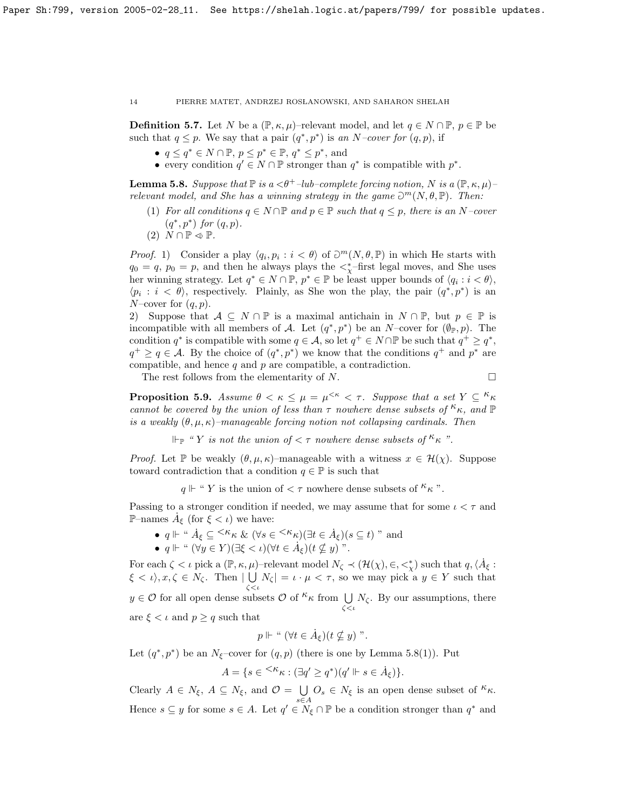**Definition 5.7.** Let N be a  $(\mathbb{P}, \kappa, \mu)$ –relevant model, and let  $q \in N \cap \mathbb{P}, p \in \mathbb{P}$  be such that  $q \leq p$ . We say that a pair  $(q^*, p^*)$  is an N-cover for  $(q, p)$ , if

- $q \leq q^* \in N \cap \mathbb{P}, p \leq p^* \in \mathbb{P}, q^* \leq p^*$ , and
- every condition  $q' \in N \cap \mathbb{P}$  stronger than  $q^*$  is compatible with  $p^*$ .

<span id="page-13-1"></span>**Lemma 5.8.** Suppose that  $\mathbb{P}$  is a  $\langle \theta^+ \text{-}lub\text{-}complete$  forcing notion, N is a  $(\mathbb{P}, \kappa, \mu)$ relevant model, and She has a winning strategy in the game  $\partial^m(N, \theta, \mathbb{P})$ . Then:

- (1) For all conditions  $q \in N \cap \mathbb{P}$  and  $p \in \mathbb{P}$  such that  $q \leq p$ , there is an N-cover  $(q^*, p^*)$  for  $(q, p)$ .
- $(2)$   $N \cap \mathbb{P} \triangleleft \mathbb{P}$ .

*Proof.* 1) Consider a play  $\langle q_i, p_i : i < \theta \rangle$  of  $\partial^m(N, \theta, \mathbb{P})$  in which He starts with  $q_0 = q, p_0 = p$ , and then he always plays the  $\lt^*_\chi$ -first legal moves, and She uses her winning strategy. Let  $q^* \in N \cap \mathbb{P}, p^* \in \mathbb{P}$  be least upper bounds of  $\langle q_i : i < \theta \rangle$ ,  $\langle p_i : i \langle \theta \rangle$ , respectively. Plainly, as She won the play, the pair  $(q^*, p^*)$  is an N–cover for  $(q, p)$ .

2) Suppose that  $A \subseteq N \cap \mathbb{P}$  is a maximal antichain in  $N \cap \mathbb{P}$ , but  $p \in \mathbb{P}$  is incompatible with all members of A. Let  $(q^*, p^*)$  be an N–cover for  $(\varnothing_{\mathbb{P}}, p)$ . The condition  $q^*$  is compatible with some  $q \in \mathcal{A}$ , so let  $q^+ \in N \cap \mathbb{P}$  be such that  $q^+ \geq q^*$ ,  $q^+ \ge q \in \mathcal{A}$ . By the choice of  $(q^*, p^*)$  we know that the conditions  $q^+$  and  $p^*$  are compatible, and hence  $q$  and  $p$  are compatible, a contradiction.

The rest follows from the elementarity of N.

$$
\Box
$$

<span id="page-13-0"></span>**Proposition 5.9.** Assume  $\theta < \kappa \leq \mu = \mu^{<\kappa} < \tau$ . Suppose that a set  $Y \subseteq {}^{\kappa} \kappa$ cannot be covered by the union of less than  $\tau$  nowhere dense subsets of  $\kappa_{\kappa}$ , and  $\mathbb P$ is a weakly  $(\theta, \mu, \kappa)$ -manageable forcing notion not collapsing cardinals. Then

 $\Vdash_{\mathbb{P}}$  " Y is not the union of  $\lt \tau$  nowhere dense subsets of  $\kappa_{\kappa}$ ".

*Proof.* Let P be weakly  $(\theta, \mu, \kappa)$ –manageable with a witness  $x \in \mathcal{H}(\chi)$ . Suppose toward contradiction that a condition  $q \in \mathbb{P}$  is such that

 $q \Vdash$  " Y is the union of  $\lt \tau$  nowhere dense subsets of  $\kappa_{\kappa}$ ".

Passing to a stronger condition if needed, we may assume that for some  $\iota < \tau$  and P–names  $\dot{A}_{\xi}$  (for  $\xi < \iota$ ) we have:

- $q \Vdash$  "  $\dot{A}_{\xi} \subseteq \langle \kappa_{\kappa} \& (\forall s \in \langle \kappa_{\kappa} \rangle) (\exists t \in \dot{A}_{\xi}) (s \subseteq t)$  " and
- $q \Vdash$  "  $(\forall y \in Y)(\exists \xi < \iota)(\forall t \in \dot{A}_{\xi})(t \nsubseteq y)$ ".

For each  $\zeta < \iota$  pick a  $(\mathbb{P}, \kappa, \mu)$ -relevant model  $N_{\zeta} \prec (\mathcal{H}(\chi), \in, \leq^*_{\chi})$  such that  $q, \langle \dot{A}_{\xi} :$  $\xi < \iota$ ,  $x, \zeta \in N_{\zeta}$ . Then  $| \bigcup N_{\zeta} | = \iota \cdot \mu < \tau$ , so we may pick a  $y \in Y$  such that ζ<ι  $y \in \mathcal{O}$  for all open dense subsets  $\mathcal{O}$  of  $kappa$  from  $\bigcup$  $\bigcup_{\zeta < \iota} N_{\zeta}$ . By our assumptions, there are  $\xi < \iota$  and  $p \geq q$  such that

$$
p \Vdash "\ (\forall t \in \dot{A}_{\xi})(t \nsubseteq y) "\, .
$$

Let  $(q^*, p^*)$  be an  $N_{\xi}$ -cover for  $(q, p)$  (there is one by Lemma [5.8\(](#page-13-1)1)). Put

$$
A = \{ s \in {}^{<\kappa} \kappa : (\exists q' \ge q^*) (q' \Vdash s \in \dot{A}_{\xi}) \}.
$$

Clearly  $A \in N_{\xi}$ ,  $A \subseteq N_{\xi}$ , and  $\mathcal{O} = \bigcup_{s \in N_{\xi}} O_s \in N_{\xi}$  is an open dense subset of  ${}^{\kappa} \kappa$ . Hence  $s \subseteq y$  for some  $s \in A$ . Let  $q' \in N_{\xi} \cap \mathbb{P}$  be a condition stronger than  $q^*$  and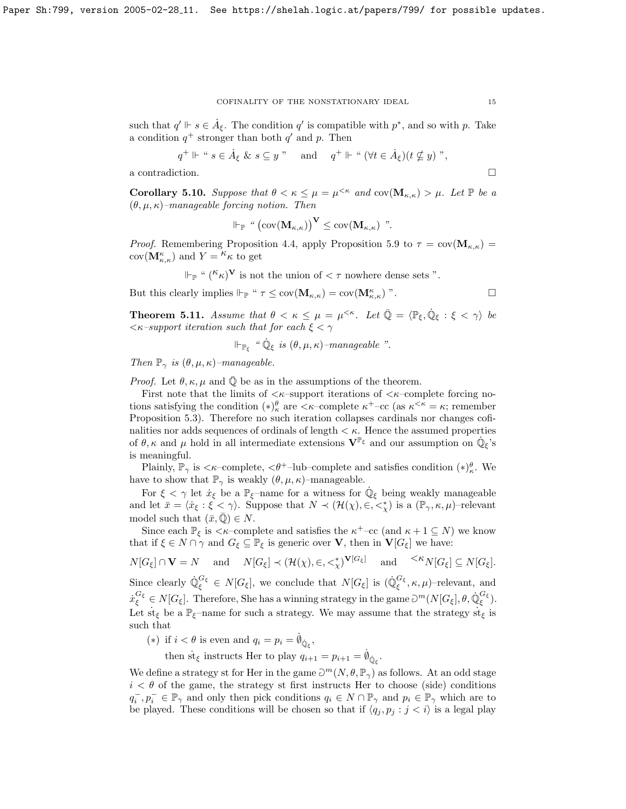such that  $q' \Vdash s \in \dot{A}_{\xi}$ . The condition  $q'$  is compatible with  $p^*$ , and so with p. Take a condition  $q^+$  stronger than both  $q'$  and p. Then

$$
q^{\dagger} \Vdash
$$
 "  $s \in \dot{A}_{\xi} \& s \subseteq y$  " and  $q^{\dagger} \Vdash$  "  $(\forall t \in \dot{A}_{\xi})(t \nsubseteq y)$  ",

a contradiction.  $\hfill \square$ 

<span id="page-14-1"></span>**Corollary 5.10.** Suppose that  $\theta < \kappa \leq \mu = \mu^{<\kappa}$  and  $cov(\mathbf{M}_{\kappa,\kappa}) > \mu$ . Let  $\mathbb P$  be a  $(\theta, \mu, \kappa)$ –manageable forcing notion. Then

$$
\Vdash_{\mathbb{P}} \text{``}\left(\text{cov}(\mathbf{M}_{\kappa,\kappa})\right)^{\mathbf{V}} \leq \text{cov}(\mathbf{M}_{\kappa,\kappa}) \text{''}.
$$

*Proof.* Remembering Proposition [4.4,](#page-10-1) apply Proposition [5.9](#page-13-0) to  $\tau = \text{cov}(\mathbf{M}_{\kappa,\kappa})$  $cov(\mathbf{M}_{\kappa,\kappa}^{\kappa})$  and  $Y = \kappa \kappa$  to get

$$
\Vdash_{\mathbb{P}} \text{`` } (\kappa_{\kappa})^{\mathbf{V}}
$$
 is not the union of  $\langle \tau \rangle$  nowhere dense sets ".

But this clearly implies  $\Vdash_{\mathbb{P}}$  "  $\tau \leq \text{cov}(\mathbf{M}_{\kappa,\kappa}) = \text{cov}(\mathbf{M}_{\kappa,\kappa})$ ".

<span id="page-14-0"></span>**Theorem 5.11.** Assume that  $\theta < \kappa \leq \mu = \mu^{<\kappa}$ . Let  $\overline{\mathbb{Q}} = \langle \mathbb{P}_{\xi}, \dot{\mathbb{Q}}_{\xi} : \xi < \gamma \rangle$  be  $\langle \kappa$ -support iteration such that for each  $\xi < \gamma$ 

 $\Vdash_{\mathbb{P}_{\xi}}$  "  $\dot{\mathbb{Q}}_{\xi}$  is  $(\theta, \mu, \kappa)$ -manageable ".

Then  $\mathbb{P}_{\gamma}$  is  $(\theta, \mu, \kappa)$ -manageable.

*Proof.* Let  $\theta$ ,  $\kappa$ ,  $\mu$  and  $\mathbb{Q}$  be as in the assumptions of the theorem.

First note that the limits of  $\langle \kappa$ -support iterations of  $\langle \kappa$ -complete forcing notions satisfying the condition  $(*)_{\kappa}^{\theta}$  are  $\langle \kappa$ -complete  $\kappa^+$ -cc (as  $\kappa^{\langle \kappa \rangle} = \kappa$ ; remember Proposition [5.3\)](#page-12-0). Therefore no such iteration collapses cardinals nor changes cofinalities nor adds sequences of ordinals of length  $\lt \kappa$ . Hence the assumed properties of  $\theta$ ,  $\kappa$  and  $\mu$  hold in all intermediate extensions  $\mathbf{V}^{\mathbb{P}_{\xi}}$  and our assumption on  $\dot{\mathbb{Q}}_{\xi}$ 's is meaningful.

Plainly,  $\mathbb{P}_{\gamma}$  is  $\langle \kappa$ -complete,  $\langle \theta^+$ -lub-complete and satisfies condition  $(*)^{\theta}_{\kappa}$ . We have to show that  $\mathbb{P}_{\gamma}$  is weakly  $(\theta, \mu, \kappa)$ –manageable.

For  $\xi < \gamma$  let  $\dot{x}_{\xi}$  be a  $\mathbb{P}_{\xi}$ -name for a witness for  $\dot{\mathbb{Q}}_{\xi}$  being weakly manageable and let  $\bar{x} = \langle \dot{x}_{\xi} : \xi < \gamma \rangle$ . Suppose that  $N \prec (\mathcal{H}(\chi), \in, \langle \xi \rangle)$  is a  $(\mathbb{P}_{\gamma}, \kappa, \mu)$ -relevant model such that  $(\bar{x}, \bar{\mathbb{Q}}) \in N$ .

Since each  $\mathbb{P}_{\xi}$  is  $\lt \kappa$ -complete and satisfies the  $\kappa^+$ -cc (and  $\kappa + 1 \subseteq N$ ) we know that if  $\xi \in N \cap \gamma$  and  $G_{\xi} \subseteq \mathbb{P}_{\xi}$  is generic over **V**, then in **V**[ $G_{\xi}$ ] we have:

 $N[G_{\xi}] \cap \mathbf{V} = N$  and  $N[G_{\xi}] \prec (\mathcal{H}(\chi), \in, \leq^*_{\chi})^{\mathbf{V}[G_{\xi}]}$  and  $\leq^{\mathcal{K}} N[G_{\xi}] \subseteq N[G_{\xi}].$ Since clearly  $\mathbb{Q}_{\xi}^{G_{\xi}} \in N[G_{\xi}]$ , we conclude that  $N[G_{\xi}]$  is  $(\mathbb{Q}_{\xi}^{G_{\xi}}, \kappa, \mu)$ -relevant, and  $\dot{x}_{\xi}^{G_{\xi}} \in N[G_{\xi}].$  Therefore, She has a winning strategy in the game  $\partial^{m}(N[G_{\xi}], \theta, \dot{\mathbb{Q}}_{\xi}^{G_{\xi}}).$ Let st<sub> $\xi$ </sub> be a  $\mathbb{P}_{\xi}$ -name for such a strategy. We may assume that the strategy st<sub> $\xi$ </sub> is such that

(\*) if  $i < \theta$  is even and  $q_i = p_i = \dot{p}_{\dot{Q}_\xi}$ ,

then st<sub> $\xi$ </sub> instructs Her to play  $q_{i+1} = p_{i+1} = \dot{q}_{\dot{Q}_{\xi}}$ .

We define a strategy st for Her in the game  $\partial^m(N, \theta, \mathbb{P}_\gamma)$  as follows. At an odd stage  $i < \theta$  of the game, the strategy st first instructs Her to choose (side) conditions  $q_i^-, p_i^- \in \mathbb{P}_\gamma$  and only then pick conditions  $q_i \in N \cap \mathbb{P}_\gamma$  and  $p_i \in \mathbb{P}_\gamma$  which are to be played. These conditions will be chosen so that if  $\langle q_j, p_j : j < i \rangle$  is a legal play

$$
15\quad
$$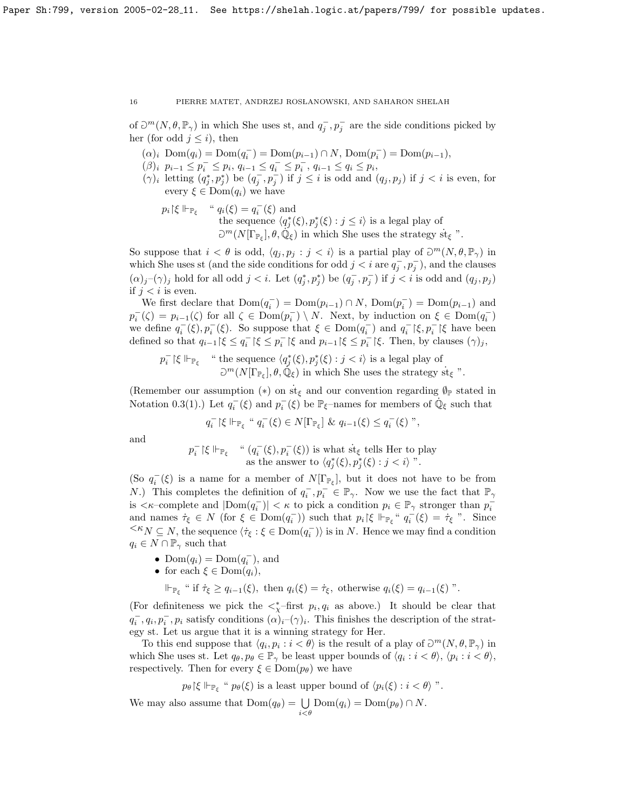of  $\partial^m(N, \theta, \mathbb{P}_\gamma)$  in which She uses st, and  $q_j^-, p_j^-$  are the side conditions picked by her (for odd  $j \leq i$ ), then

- $(\alpha)_i \text{ Dom}(q_i) = \text{Dom}(q_i^-) = \text{Dom}(p_{i-1}) \cap N, \text{Dom}(p_i^-) = \text{Dom}(p_{i-1}),$
- $(\beta)_i \, p_{i-1} \leq p_i^- \leq p_i, \, q_{i-1} \leq q_i^- \leq p_i^-, \, q_{i-1} \leq q_i \leq p_i^-,$
- $(\gamma)_i$  letting  $(q_j^*, p_j^*)$  be  $(q_j^-, p_j^-)$  if  $j \leq i$  is odd and  $(q_j, p_j)$  if  $j < i$  is even, for every  $\xi \in \text{Dom}(q_i)$  we have
	- $p_i$ | $\xi \Vdash_{\mathbb{P}_{\xi}}$  "  $q_i(\xi) = q_i^-(\xi)$  and the sequence  $\langle q_j^*(\xi), p_j^*(\xi) : j \leq i \rangle$  is a legal play of  $\mathcal{D}^m(N[\Gamma_{\mathbb{P}_\xi}], \theta, \mathbb{Q}_\xi)$  in which She uses the strategy st<sub> $\xi$ </sub> ".

So suppose that  $i < \theta$  is odd,  $\langle q_j, p_j : j < i \rangle$  is a partial play of  $\partial^m(N, \theta, \mathbb{P}_\gamma)$  in which She uses st (and the side conditions for odd  $j < i$  are  $q_j^-, p_j^-$ ), and the clauses  $(\alpha)_j$ – $(\gamma)_j$  hold for all odd  $j < i$ . Let  $(q_j^*, p_j^*)$  be  $(q_j^-, p_j^-)$  if  $j < i$  is odd and  $(q_j, p_j)$ if  $j < i$  is even.

We first declare that  $Dom(q_i^-) = Dom(p_{i-1}) \cap N$ ,  $Dom(p_i^-) = Dom(p_{i-1})$  and  $p_i^-(\zeta) = p_{i-1}(\zeta)$  for all  $\zeta \in \text{Dom}(p_i^-) \setminus N$ . Next, by induction on  $\xi \in \text{Dom}(q_i^-)$ we define  $q_i^-(\xi), p_i^-(\xi)$ . So suppose that  $\xi \in \text{Dom}(q_i^-)$  and  $q_i^-(\xi, p_i^-(\xi)$  have been defined so that  $q_{i-1}$  | $\xi \le q_i^-$  | $\xi \le p_i^-$  | $\xi$  and  $p_{i-1}$  | $\xi \le p_i^-$  | $\xi$ . Then, by clauses  $(\gamma)_j$ ,

$$
p_i^-\upharpoonright\xi \Vdash_{\mathbb{P}_{\xi}} \quad \text{``the sequence $\langle q_j^*(\xi),p_j^*(\xi):j\text{st}_{\xi}
$$
''}.

(Remember our assumption  $(*)$  on  $\dot{\mathbf{s}}_{\xi}$  and our convention regarding  $\mathbf{\emptyset}_{\mathbb{P}}$  stated in Notation [0.3\(](#page-1-2)1).) Let  $q_i^-(\xi)$  and  $p_i^-(\xi)$  be  $\mathbb{P}_{\xi}$ -names for members of  $\dot{\mathbb{Q}}_{\xi}$  such that

$$
q_i^-\upharpoonright\xi \Vdash_{\mathbb{P}_\xi} " q_i^-(\xi) \in N[\Gamma_{\mathbb{P}_\xi}] \& q_{i-1}(\xi) \leq q_i^-(\xi) ",
$$

and

$$
p_i^- \upharpoonright \xi \Vdash_{\mathbb{P}_{\xi}} \quad \text{`` } (q_i^-(\xi), p_i^-(\xi)) \text{ is what } \text{st}_{\xi} \text{ tells Her to play as the answer to } \langle q_j^*(\xi), p_j^*(\xi) : j < i \rangle \text{''}.
$$

(So  $q_i^-(\xi)$  is a name for a member of  $N[\Gamma_{\mathbb{P}_\xi}]$ , but it does not have to be from N.) This completes the definition of  $q_i^-, p_i^- \in \mathbb{P}_{\gamma}$ . Now we use the fact that  $\mathbb{P}_{\gamma}$ is  $\langle \kappa$ -complete and  $|\text{Dom}(q_i^-)| \langle \kappa \rangle$  to pick a condition  $p_i \in \mathbb{P}_{\gamma}$  stronger than  $p_i^$ and names  $\dot{\tau}_{\xi} \in N$  (for  $\xi \in \text{Dom}(q_i^-)$ ) such that  $p_i \upharpoonright \xi \Vdash_{\mathbb{P}_{\xi}} \dot{q}_i^-(\xi) = \dot{\tau}_{\xi}$  ". Since  $\leq K_N \subseteq N$ , the sequence  $\langle \tau_{\xi} : \xi \in \text{Dom}(q_i^-) \rangle$  is in N. Hence we may find a condition  $q_i \in N \cap \mathbb{P}_{\gamma}$  such that

- Dom $(q_i) = \text{Dom}(q_i^{-})$ , and
- for each  $\xi \in \text{Dom}(q_i)$ ,

 $\Vdash_{\mathbb{P}_{\xi}}$  " if  $\dot{\tau}_{\xi} \geq q_{i-1}(\xi)$ , then  $q_i(\xi) = \dot{\tau}_{\xi}$ , otherwise  $q_i(\xi) = q_{i-1}(\xi)$ ".

(For definiteness we pick the  $\lt^*_\chi$ -first  $p_i, q_i$  as above.) It should be clear that  $q_i^-, q_i, p_i^-, p_i$  satisfy conditions  $(\alpha)_{i}(\gamma)_i$ . This finishes the description of the strategy st. Let us argue that it is a winning strategy for Her.

To this end suppose that  $\langle q_i, p_i : i < \theta \rangle$  is the result of a play of  $\partial^m(N, \theta, \mathbb{P}_\gamma)$  in which She uses st. Let  $q_{\theta}, p_{\theta} \in \mathbb{P}_{\gamma}$  be least upper bounds of  $\langle q_i : i < \theta \rangle, \langle p_i : i < \theta \rangle$ , respectively. Then for every  $\xi \in \text{Dom}(p_{\theta})$  we have

$$
p_{\theta} \upharpoonright \xi \Vdash_{\mathbb{P}_{\xi}} \text{`` } p_{\theta}(\xi) \text{ is a least upper bound of } \langle p_i(\xi) : i < \theta \rangle \text{''}.
$$

We may also assume that  $Dom(q_{\theta}) = \bigcup_{i < \theta} Dom(q_i) = Dom(p_{\theta}) \cap N$ .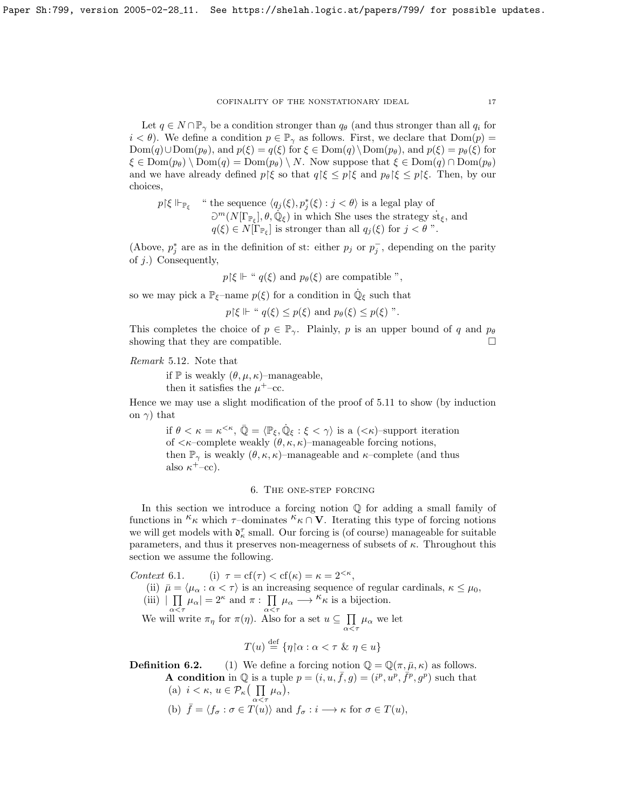Let  $q \in N \cap \mathbb{P}_{\gamma}$  be a condition stronger than  $q_{\theta}$  (and thus stronger than all  $q_i$  for  $i < \theta$ ). We define a condition  $p \in \mathbb{P}_{\gamma}$  as follows. First, we declare that  $Dom(p)$  $Dom(q) \cup Dom(p_\theta)$ , and  $p(\xi) = q(\xi)$  for  $\xi \in Dom(q) \setminus Dom(p_\theta)$ , and  $p(\xi) = p_\theta(\xi)$  for  $\xi \in \text{Dom}(p_{\theta}) \setminus \text{Dom}(q) = \text{Dom}(p_{\theta}) \setminus N$ . Now suppose that  $\xi \in \text{Dom}(q) \cap \text{Dom}(p_{\theta})$ and we have already defined  $p \nvert \xi$  so that  $q \nvert \xi \leq p \nvert \xi$  and  $p_\theta \nvert \xi \leq p \nvert \xi$ . Then, by our choices,

$$
p \restriction \xi \Vdash_{\mathbb{P}_{\xi}}
$$
 "the sequence  $\langle q_j(\xi), p_j^*(\xi) : j < \theta \rangle$  is a legal play of  $\partial^m(N[\Gamma_{\mathbb{P}_{\xi}}], \theta, \mathbb{Q}_{\xi})$  in which She uses the strategy  $\text{st}_{\xi}$ , and  $q(\xi) \in N[\Gamma_{\mathbb{P}_{\xi}}]$  is stronger than all  $q_j(\xi)$  for  $j < \theta$ ".

(Above,  $p_j^*$  are as in the definition of st: either  $p_j$  or  $p_j^-$ , depending on the parity of j.) Consequently,

$$
p \upharpoonright \xi \Vdash
$$
 "  $q(\xi)$  and  $p_{\theta}(\xi)$  are compatible ",

so we may pick a  $\mathbb{P}_{\xi}$ -name  $p(\xi)$  for a condition in  $\dot{\mathbb{Q}}_{\xi}$  such that

 $p\{\xi \Vdash "q(\xi) \leq p(\xi) \text{ and } p_{\theta}(\xi) \leq p(\xi) \text{''}.$ 

This completes the choice of  $p \in \mathbb{P}_{\gamma}$ . Plainly, p is an upper bound of q and  $p_{\theta}$ showing that they are compatible.  $\square$ 

Remark 5.12. Note that

if  $\mathbb P$  is weakly  $(\theta, \mu, \kappa)$ –manageable,

then it satisfies the  $\mu^+$ -cc.

Hence we may use a slight modification of the proof of [5.11](#page-14-0) to show (by induction on  $\gamma$ ) that

if  $\theta < \kappa = \kappa^{<\kappa}, \bar{\mathbb{Q}} = \langle \mathbb{P}_{\xi}, \dot{\mathbb{Q}}_{\xi} : \xi < \gamma \rangle$  is a  $(<\kappa$ )-support iteration of  $\langle \kappa$ –complete weakly  $(\theta, \kappa, \kappa)$ –manageable forcing notions, then  $\mathbb{P}_{\gamma}$  is weakly  $(\theta, \kappa, \kappa)$ –manageable and  $\kappa$ –complete (and thus also  $\kappa^+$ -cc).

# 6. The one-step forcing

In this section we introduce a forcing notion  $\mathbb Q$  for adding a small family of functions in  ${}^{\kappa}\kappa$  which  $\tau$ –dominates  ${}^{\kappa}\kappa \cap V$ . Iterating this type of forcing notions we will get models with  $\mathfrak{d}_\kappa^\tau$  small. Our forcing is (of course) manageable for suitable parameters, and thus it preserves non-meagerness of subsets of  $\kappa$ . Throughout this section we assume the following.

Context 6.1. (i)  $\tau = cf(\tau) < cf(\kappa) = \kappa = 2^{<\kappa},$ 

- (ii)  $\bar{\mu} = \langle \mu_{\alpha} : \alpha < \tau \rangle$  is an increasing sequence of regular cardinals,  $\kappa \leq \mu_0$ ,
- (iii)  $|\prod_{\alpha}^{\infty} \mu_{\alpha}| = 2^{\kappa}$  and  $\pi : \prod_{\alpha} \mu_{\alpha} \longrightarrow^{\kappa} \kappa$  is a bijection.

We will write  $\pi_{\eta}$  for  $\pi(\eta)$ . Also for a set  $u \subseteq \prod$  $\prod_{\alpha<\tau}\mu_\alpha$  we let

$$
T(u) \stackrel{\text{def}}{=} \{ \eta \, | \, \alpha : \alpha < \tau \, \, \& \, \, \eta \in u \}
$$

**Definition 6.2.** (1) We define a forcing notion  $\mathbb{Q} = \mathbb{Q}(\pi, \bar{\mu}, \kappa)$  as follows. **A** condition in Q is a tuple  $p = (i, u, \bar{f}, g) = (i^p, u^p, \bar{f}^p, g^p)$  such that

(a) 
$$
i < \kappa
$$
,  $u \in \mathcal{P}_{\kappa} \Big( \prod_{\alpha < \tau} \mu_{\alpha} \Big)$ ,  
\n(b)  $\bar{f} = \langle f_{\sigma} : \sigma \in T(u) \rangle$  and  $f_{\sigma} : i \longrightarrow \kappa$  for  $\sigma \in T(u)$ ,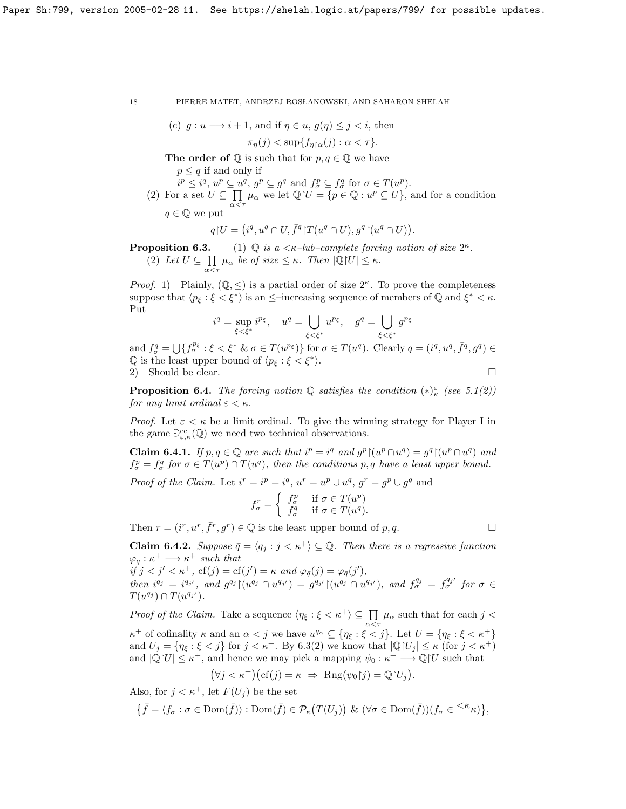(c) 
$$
g: u \longrightarrow i+1
$$
, and if  $\eta \in u$ ,  $g(\eta) \leq j < i$ , then

$$
\pi_{\eta}(j) < \sup\{f_{\eta \upharpoonright \alpha}(j) : \alpha < \tau\}.
$$

**The order of**  $\mathbb Q$  is such that for  $p, q \in \mathbb Q$  we have

 $p \leq q$  if and only if

- $i^p \leq i^q, u^p \subseteq u^q, g^p \subseteq g^q$  and  $f^p_{\sigma} \subseteq f^q_{\sigma}$  for  $\sigma \in T(u^p)$ .
- (2) For a set  $U \subseteq \prod$  $\prod_{\alpha \leq \tau} \mu_{\alpha}$  we let  $\mathbb{Q}[U] = \{p \in \mathbb{Q} : u^p \subseteq U\}$ , and for a condition

$$
q \in \mathbb{Q}
$$
 we put

$$
q U = (i^q, u^q \cap U, \overline{f}^q) T(u^q \cap U), g^q \upharpoonright (u^q \cap U)).
$$

**Proposition 6.3.** (1)  $\mathbb{Q}$  is a  $\lt \kappa$ -lub-complete forcing notion of size  $2^{\kappa}$ .  $(2)$  Let  $U \subseteq \prod$  $\prod_{\alpha<\tau}\mu_{\alpha}$  be of size  $\leq\kappa$ . Then  $|\mathbb{Q}|U|\leq\kappa$ .

*Proof.* 1) Plainly,  $(\mathbb{Q}, \leq)$  is a partial order of size  $2^{\kappa}$ . To prove the completeness suppose that  $\langle p_{\xi} : \xi \leq \xi^* \rangle$  is an  $\leq$ -increasing sequence of members of Q and  $\xi^* \leq \kappa$ . Put

$$
i^q = \sup_{\xi < \xi^*} i^{p_\xi}, \quad u^q = \bigcup_{\xi < \xi^*} u^{p_\xi}, \quad g^q = \bigcup_{\xi < \xi^*} g^{p_\xi}
$$

and  $f_{\sigma}^q = \bigcup \{ f_{\sigma}^{p_{\xi}} : \xi < \xi^* \& \sigma \in T(u^{p_{\xi}}) \}$  for  $\sigma \in T(u^q)$ . Clearly  $q = (i^q, u^q, \overline{f}^q, g^q) \in$  $\mathbb Q$  is the least upper bound of  $\langle p_{\xi} : \xi \leq \xi^* \rangle$ . 2) Should be clear.

<span id="page-17-0"></span>**Proposition 6.4.** The forcing notion  $\mathbb{Q}$  satisfies the condition  $(*)_\kappa^{\varepsilon}$  (see [5.1\(](#page-11-0)2)) for any limit ordinal  $\varepsilon < \kappa$ .

*Proof.* Let  $\varepsilon < \kappa$  be a limit ordinal. To give the winning strategy for Player I in the game  $\partial_{\varepsilon,\kappa}^{cc}(\mathbb{Q})$  we need two technical observations.

<span id="page-17-2"></span>**Claim 6.4.1.** If  $p, q \in \mathbb{Q}$  are such that  $i^p = i^q$  and  $g^p \mid (u^p \cap u^q) = g^q \mid (u^p \cap u^q)$  and  $f_{\sigma}^p = f_{\sigma}^q$  for  $\sigma \in T(u^p) \cap T(u^q)$ , then the conditions p, q have a least upper bound.

*Proof of the Claim.* Let  $i^r = i^p = i^q$ ,  $u^r = u^p \cup u^q$ ,  $g^r = g^p \cup g^q$  and

$$
f_{\sigma}^r = \begin{cases} f_{\sigma}^p & \text{if } \sigma \in T(u^p) \\ f_{\sigma}^q & \text{if } \sigma \in T(u^q). \end{cases}
$$

Then  $r = (i^r, u^r, \bar{f}^r, g^r) \in \mathbb{Q}$  is the least upper bound of p, q.

<span id="page-17-1"></span>**Claim 6.4.2.** Suppose  $\bar{q} = \langle q_i : j \leq \kappa^+ \rangle \subseteq \mathbb{Q}$ . Then there is a regressive function  $\varphi_{\bar{q}} : \kappa^+ \longrightarrow \kappa^+$  such that

 $if j < j' < \kappa^+$ ,  $cf(j) = cf(j') = \kappa$  and  $\varphi_{\bar{q}}(j) = \varphi_{\bar{q}}(j')$ , then  $i^{q_j} = i^{q_{j'}}$ , and  $g^{q_j} \upharpoonright (u^{q_j} \cap u^{q_{j'}}) = g^{q_{j'}} \upharpoonright (u^{q_j} \cap u^{q_{j'}})$ , and  $f^{q_j}_{\sigma} = f^{q_{j'}}_{\sigma}$  for  $\sigma \in$  $T(u^{q_j}) \cap T(u^{q_{j'}})$ .

*Proof of the Claim.* Take a sequence  $\langle \eta_{\xi} : \xi < \kappa^+ \rangle \subseteq \prod \mu_{\alpha}$  such that for each j <  $\alpha < \tau$  $\kappa^+$  of cofinality  $\kappa$  and an  $\alpha < j$  we have  $u^{q_\alpha} \subseteq \{\eta_{\xi} : \xi < j\}$ . Let  $U = \{\eta_{\xi} : \xi < \kappa^+\}$ and  $U_j = \{\eta_{\xi} : \xi < j\}$  for  $j < \kappa^+$ . By [6.3\(](#page-0-0)2) we know that  $|\mathbb{Q}[U_j] \leq \kappa$  (for  $j < \kappa^+$ )

and  $|\mathbb{Q}[U] \leq \kappa^+$ , and hence we may pick a mapping  $\psi_0 : \kappa^+ \longrightarrow \mathbb{Q}[U]$  such that

$$
(\forall j < \kappa^+) \big( \text{cf}(j) = \kappa \ \Rightarrow \ \text{Rng}(\psi_0 | j) = \mathbb{Q}[U_j].
$$

Also, for  $j < \kappa^+$ , let  $F(U_j)$  be the set

$$
\big\{\bar{f}=\langle f_\sigma:\sigma\in\text{Dom}(\bar{f})\rangle:\text{Dom}(\bar{f})\in\mathcal{P}_\kappa\big(T(U_j)\big)\,\,\&\,\,(\forall\sigma\in\text{Dom}(\bar{f}))(f_\sigma\in{}^{<\kappa}\kappa)\big\},
$$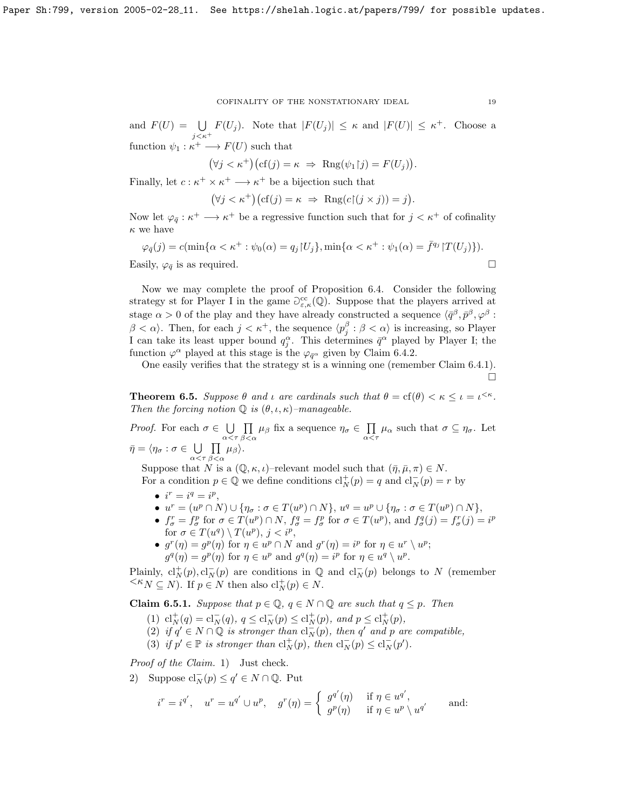and  $F(U) = \bigcup F(U_j)$ . Note that  $|F(U_j)| \leq \kappa$  and  $|F(U)| \leq \kappa^+$ . Choose a  $j<\kappa^+$ function  $\psi_1 : \kappa^+ \longrightarrow F(U)$  such that

$$
(\forall j < \kappa^+) \big( \text{cf}(j) = \kappa \ \Rightarrow \ \text{Rng}(\psi_1 | j) = F(U_j) \big).
$$

Finally, let  $c : \kappa^+ \times \kappa^+ \longrightarrow \kappa^+$  be a bijection such that

$$
(\forall j < \kappa^+) \big( \text{cf}(j) = \kappa \ \Rightarrow \ \text{Rng}(c \upharpoonright (j \times j)) = j \big).
$$

Now let  $\varphi_{\bar{q}} : \kappa^+ \longrightarrow \kappa^+$  be a regressive function such that for  $j < \kappa^+$  of cofinality  $\kappa$  we have

$$
\varphi_{\bar{q}}(j) = c(\min\{\alpha < \kappa^+ : \psi_0(\alpha) = q_j | U_j\}, \min\{\alpha < \kappa^+ : \psi_1(\alpha) = \bar{f}^{q_j} | T(U_j)\}).
$$
  
Easily,  $\varphi_{\bar{q}}$  is as required.

Now we may complete the proof of Proposition [6.4.](#page-17-0) Consider the following strategy st for Player I in the game  $\partial_{\varepsilon,\kappa}^{cc}(\mathbb{Q})$ . Suppose that the players arrived at stage  $\alpha > 0$  of the play and they have already constructed a sequence  $\langle \bar{q}^{\beta}, \bar{p}^{\beta}, \varphi^{\beta}$ :  $\beta < \alpha$ . Then, for each  $j < \kappa^+$ , the sequence  $\langle p_j^{\beta} : \beta < \alpha \rangle$  is increasing, so Player I can take its least upper bound  $q_j^{\alpha}$ . This determines  $\bar{q}^{\alpha}$  played by Player I; the function  $\varphi^{\alpha}$  played at this stage is the  $\varphi_{\bar{q}^{\alpha}}$  given by Claim [6.4.2.](#page-17-1)

One easily verifies that the strategy st is a winning one (remember Claim [6.4.1\)](#page-17-2). Ó

<span id="page-18-1"></span>**Theorem 6.5.** Suppose  $\theta$  and  $\iota$  are cardinals such that  $\theta = \text{cf}(\theta) < \kappa \leq \iota = \iota^{<\kappa}$ . Then the forcing notion  $\mathbb Q$  is  $(\theta, \iota, \kappa)$ -manageable.

*Proof.* For each  $\sigma \in \bigcup$  $\alpha < \tau$  $\Pi$  $\prod_{\beta<\alpha}\mu_{\beta}$  fix a sequence  $\eta_{\sigma}\in\prod_{\alpha<\alpha}$  $\prod_{\alpha<\tau}\mu_{\alpha}$  such that  $\sigma\subseteq\eta_{\sigma}$ . Let  $\bar{\eta} = \langle \eta_\sigma : \sigma \in \ \bigcup$  $\alpha < \tau$  $\Pi$  $\prod_{\beta<\alpha}\mu_{\beta}\rangle.$ 

Suppose that N is a  $(\mathbb{Q}, \kappa, \iota)$ –relevant model such that  $(\bar{\eta}, \bar{\mu}, \pi) \in N$ . For a condition  $p \in \mathbb{Q}$  we define conditions  $\mathrm{cl}_N^+(p) = q$  and  $\mathrm{cl}_N^-(p) = r$  by

- $i^r = i^q = i^p$ ,
- $u^r = (u^p \cap N) \cup \{ \eta_\sigma : \sigma \in T(u^p) \cap N \}, u^q = u^p \cup \{ \eta_\sigma : \sigma \in T(u^p) \cap N \},$
- $f_{\sigma}^r = f_{\sigma}^p$  for  $\sigma \in T(u^p) \cap N$ ,  $f_{\sigma}^q = f_{\sigma}^p$  for  $\sigma \in T(u^p)$ , and  $f_{\sigma}^q(j) = f_{\sigma}^r(j) = i^p$ for  $\sigma \in T(u^q) \setminus T(u^p), j < i^p$ ,
- $g^r(\eta) = g^p(\eta)$  for  $\eta \in u^p \cap N$  and  $g^r(\eta) = i^p$  for  $\eta \in u^r \setminus u^p$ ;  $g^q(\eta) = g^p(\eta)$  for  $\eta \in u^p$  and  $g^q(\eta) = i^p$  for  $\eta \in u^q \setminus u^p$ .

Plainly,  $\text{cl}_N^+(p), \text{cl}_N^-(p)$  are conditions in  $\mathbb Q$  and  $\text{cl}_N^-(p)$  belongs to N (remember  $\leq K_N \subseteq N$ ). If  $p \in N$  then also  $\mathrm{cl}_N^+(p) \in N$ .

<span id="page-18-0"></span>**Claim 6.5.1.** Suppose that  $p \in \mathbb{Q}$ ,  $q \in N \cap \mathbb{Q}$  are such that  $q \leq p$ . Then

- (1)  $\mathrm{cl}_N^+(q) = \mathrm{cl}_N^-(q), q \leq \mathrm{cl}_N^-(p) \leq \mathrm{cl}_N^+(p), \text{ and } p \leq \mathrm{cl}_N^+(p),$
- (2) if  $q' \in N \cap \mathbb{Q}$  is stronger than  $cl_N^-(p)$ , then  $q'$  and p are compatible,
- (3) if  $p' \in \mathbb{P}$  is stronger than  $\mathrm{cl}_N^+(p)$ , then  $\mathrm{cl}_N^-(p) \leq \mathrm{cl}_N^-(p').$

Proof of the Claim. 1) Just check.

2) Suppose  $\operatorname{cl}_N^-(p) \le q' \in N \cap \mathbb{Q}$ . Put

$$
i^r = i^{q'}, \quad u^r = u^{q'} \cup u^p, \quad g^r(\eta) = \begin{cases} g^{q'}(\eta) & \text{if } \eta \in u^{q'}, \\ g^p(\eta) & \text{if } \eta \in u^p \setminus u^{q'} \end{cases}
$$
 and: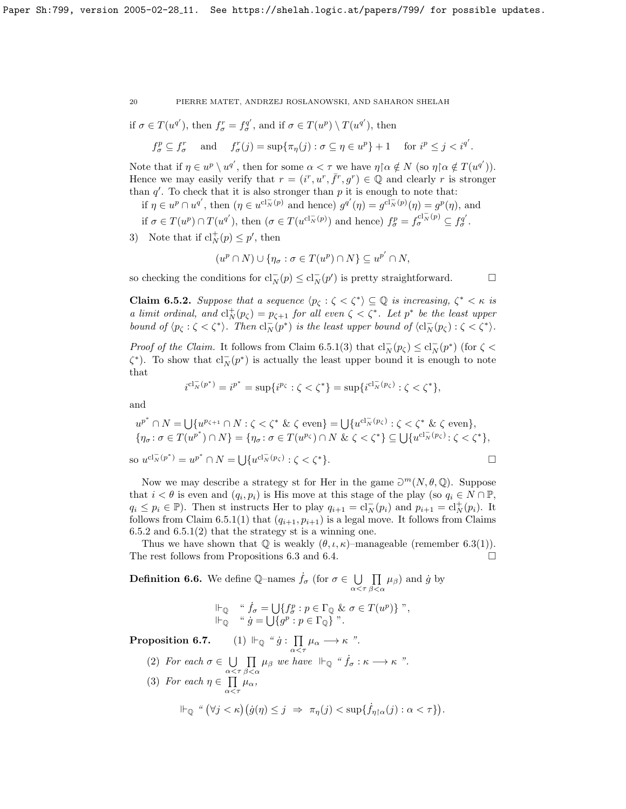if 
$$
\sigma \in T(u^{q'})
$$
, then  $f_{\sigma}^r = f_{\sigma}^{q'}$ , and if  $\sigma \in T(u^p) \setminus T(u^{q'})$ , then

$$
f_{\sigma}^p \subseteq f_{\sigma}^r \quad \text{ and } \quad f_{\sigma}^r(j) = \sup \{ \pi_{\eta}(j) : \sigma \subseteq \eta \in u^p \} + 1 \quad \text{ for } i^p \le j < i^{q'}.
$$

Note that if  $\eta \in u^p \setminus u^{q'}$ , then for some  $\alpha < \tau$  we have  $\eta \upharpoonright \alpha \notin N$  (so  $\eta \upharpoonright \alpha \notin T(u^{q'}))$ . Hence we may easily verify that  $r = (i^r, u^r, \bar{f}^r, g^r) \in \mathbb{Q}$  and clearly r is stronger than  $q'$ . To check that it is also stronger than  $p$  it is enough to note that:

- if  $\eta \in u^p \cap u^{q'}$ , then  $(\eta \in u^{cl_{\overline{N}}(p)}$  and hence)  $g^{q'}(\eta) = g^{cl_{\overline{N}}(p)}(\eta) = g^p(\eta)$ , and
- if  $\sigma \in T(u^p) \cap T(u^{q'})$ , then  $(\sigma \in T(u^{cl_{N}^-(p)})$  and hence)  $f_{\sigma}^p = f_{\sigma}^{cl_{N}^-(p)} \subseteq f_{\sigma}^{q'}$ .
- 3) Note that if  $\text{cl}_N^+(p) \leq p'$ , then

$$
(u^p \cap N) \cup \{ \eta_\sigma : \sigma \in T(u^p) \cap N \} \subseteq u^{p'} \cap N,
$$

so checking the conditions for  $cl_N^-(p) \leq cl_N^-(p')$  is pretty straightforward.  $\Box$ 

<span id="page-19-0"></span>**Claim 6.5.2.** Suppose that a sequence  $\langle p_{\zeta} : \zeta \langle \zeta^* \rangle \subseteq \mathbb{Q}$  is increasing,  $\zeta^* \langle \zeta \rangle$  is a limit ordinal, and  $\mathrm{cl}_N^+(p_\zeta) = p_{\zeta+1}$  for all even  $\zeta < \zeta^*$ . Let  $p^*$  be the least upper bound of  $\langle p_{\zeta} : \zeta \langle \zeta^* \rangle$ . Then  $cl_N^-(p^*)$  is the least upper bound of  $\langle cl_N^-(p_{\zeta}) : \zeta \langle \zeta^* \rangle$ .

*Proof of the Claim.* It follows from Claim [6.5.1\(](#page-18-0)3) that  $cl_N^-(p_\zeta) \leq cl_N^-(p^*)$  (for  $\zeta$  <  $\zeta^*$ ). To show that  $cl_N^-(p^*)$  is actually the least upper bound it is enough to note that

$$
i^{\mathrm{cl}_N^-(p^*)} = i^{p^*} = \sup\{i^{p_{\zeta}} : \zeta < \zeta^*\} = \sup\{i^{\mathrm{cl}_N^-(p_{\zeta})} : \zeta < \zeta^*\},
$$

and

$$
u^{p^*} \cap N = \bigcup \{ u^{p_{\zeta+1}} \cap N : \zeta < \zeta^* \& \zeta \text{ even} \} = \bigcup \{ u^{c_1 \overline{N}(p_{\zeta})} : \zeta < \zeta^* \& \zeta \text{ even} \},
$$
\n
$$
\{ \eta_{\sigma} \colon \sigma \in T(u^{p^*}) \cap N \} = \{ \eta_{\sigma} \colon \sigma \in T(u^{p_{\zeta}}) \cap N \& \zeta < \zeta^* \} \subseteq \bigcup \{ u^{c_1 \overline{N}(p_{\zeta})} : \zeta < \zeta^* \},
$$
\n
$$
\text{so } u^{c_1 \overline{N}(p^*)} = u^{p^*} \cap N = \bigcup \{ u^{c_1 \overline{N}(p_{\zeta})} : \zeta < \zeta^* \}.
$$

Now we may describe a strategy st for Her in the game  $\partial^m(N, \theta, \mathbb{Q})$ . Suppose that  $i < \theta$  is even and  $(q_i, p_i)$  is His move at this stage of the play (so  $q_i \in N \cap \mathbb{P}$ ,  $q_i \leq p_i \in \mathbb{P}$ ). Then st instructs Her to play  $q_{i+1} = \mathrm{cl}_N^-(p_i)$  and  $p_{i+1} = \mathrm{cl}_N^+(p_i)$ . It follows from Claim [6.5.1\(](#page-18-0)1) that  $(q_{i+1}, p_{i+1})$  is a legal move. It follows from Claims  $6.5.2$  and  $6.5.1(2)$  that the strategy st is a winning one.

Thus we have shown that  $\mathbb Q$  is weakly  $(\theta, \iota, \kappa)$ –manageable (remember [6.3\(](#page-0-0)1)). The rest follows from Propositions [6.3](#page-0-0) and [6.4.](#page-17-0)

<span id="page-19-1"></span>**Definition 6.6.** We define Q-names  $\dot{f}_{\sigma}$  (for  $\sigma \in \bigcup$  $\alpha < \tau$  $\Pi$  $\prod_{\beta<\alpha}\mu_{\beta}$  and  $\dot{g}$  by

$$
\begin{array}{ll}\n\Vdash_{\mathbb{Q}} & \text{``}\ \dot{f}_{\sigma} = \bigcup \{ f_{\sigma}^p : p \in \Gamma_{\mathbb{Q}} \ \& \ \sigma \in T(u^p) \} \ \text{''}, \\
\Vdash_{\mathbb{Q}} & \text{``}\ \dot{g} = \bigcup \{ g^p : p \in \Gamma_{\mathbb{Q}} \} \ \text{''}.\n\end{array}
$$

Proposition 6.7. (1)  $\Vdash_{\mathbb{Q}}$  " $\dot{g}$  :  $\prod$  $\prod_{\alpha<\tau}\mu_{\alpha}\longrightarrow\kappa$  ".

- (2) For each  $\sigma \in \bigcup$  $\alpha < \tau$  $\Pi$  $\prod_{\beta<\alpha}\mu_{\beta}$  we have  $\Vdash_{\mathbb{Q}}$  " $\dot{f}_{\sigma}:\kappa\longrightarrow\kappa$ ".
- (3) For each  $\eta \in \Pi$  $\prod_{\alpha<\tau}\mu_\alpha,$  $\mathbb{H}_{\mathbb{Q}} \text{`` } (\forall j < \kappa) \big( \dot{g}(\eta) \leq j \Rightarrow \pi_{\eta}(j) < \sup \{ \dot{f}_{\eta \restriction \alpha}(j) : \alpha < \tau \} \big).$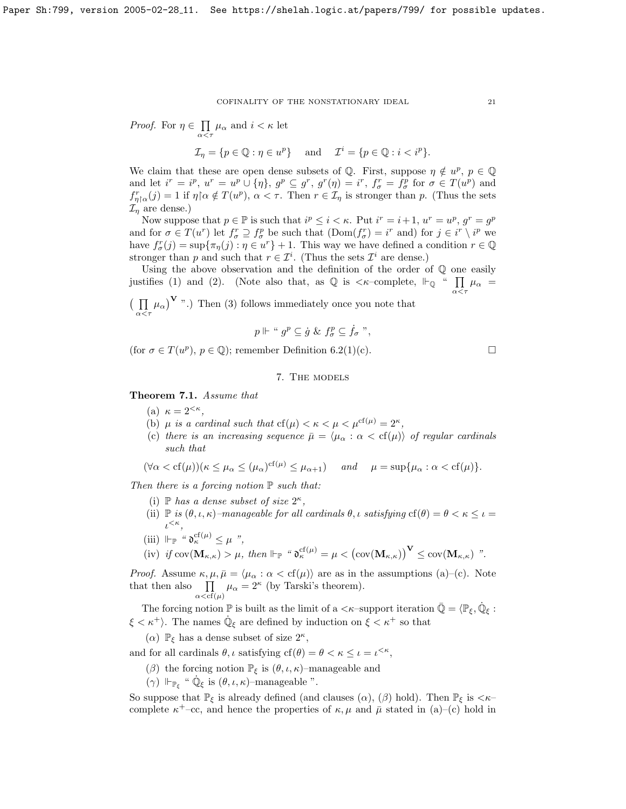*Proof.* For  $\eta \in \Pi$  $\prod_{\alpha < \tau} \mu_{\alpha}$  and  $i < \kappa$  let

$$
\mathcal{I}_{\eta} = \{ p \in \mathbb{Q} : \eta \in u^p \} \quad \text{and} \quad \mathcal{I}^i = \{ p \in \mathbb{Q} : i < i^p \}.
$$

We claim that these are open dense subsets of Q. First, suppose  $\eta \notin u^p$ ,  $p \in \mathbb{Q}$ and let  $i^r = i^p$ ,  $u^r = u^p \cup {\eta}$ ,  $g^p \subseteq g^r$ ,  $g^r(\eta) = i^r$ ,  $f^r_\sigma = f^p_\sigma$  for  $\sigma \in T(u^p)$  and  $f_{\eta\upharpoonright\alpha}^r(j) = 1$  if  $\eta\upharpoonright\alpha \notin T(u^p)$ ,  $\alpha < \tau$ . Then  $r \in \mathcal{I}_{\eta}$  is stronger than p. (Thus the sets  $\mathcal{I}_\eta$  are dense.)

Now suppose that  $p \in \mathbb{P}$  is such that  $i^p \leq i < \kappa$ . Put  $i^r = i+1$ ,  $u^r = u^p$ ,  $g^r = g^p$ and for  $\sigma \in T(u^r)$  let  $f_{\sigma}^r \supseteq f_{\sigma}^p$  be such that  $(Dom(f_{\sigma}^r) = i^r$  and) for  $j \in i^r \setminus i^p$  we have  $f_{\sigma}^r(j) = \sup \{ \pi_{\eta}(j) : \eta \in u^r \} + 1$ . This way we have defined a condition  $r \in \mathbb{Q}$ stronger than p and such that  $r \in \mathcal{I}^i$ . (Thus the sets  $\mathcal{I}^i$  are dense.)

Using the above observation and the definition of the order of Q one easily justifies (1) and (2). (Note also that, as  $\mathbb Q$  is  $\lt \kappa$ -complete,  $\mathbb H_{\mathbb Q}$  "  $\prod$  $\prod_{\alpha<\tau}\mu_\alpha =$ 

 $(\Pi)$  $\prod_{\alpha \leq \tau} \mu_{\alpha}$ , Then (3) follows immediately once you note that

$$
p \Vdash " gp \subseteq \dot{g} \& f_{\sigma}^{p} \subseteq \dot{f}_{\sigma}"
$$

(for  $\sigma \in T(u^p)$ ,  $p \in \mathbb{Q}$ ); remember Definition [6.2\(](#page-0-0)1)(c).

# 7. The models

<span id="page-20-0"></span>Theorem 7.1. Assume that

- (a)  $\kappa = 2^{<\kappa},$
- (b)  $\mu$  is a cardinal such that  $cf(\mu) < \kappa < \mu < \mu^{cf(\mu)} = 2^{\kappa}$ ,
- (c) there is an increasing sequence  $\bar{\mu} = \langle \mu_{\alpha} : \alpha < \text{cf}(\mu) \rangle$  of regular cardinals such that

$$
(\forall \alpha < cf(\mu))(\kappa \le \mu_\alpha \le (\mu_\alpha)^{cf(\mu)} \le \mu_{\alpha+1}) \quad \text{and} \quad \mu = \sup \{\mu_\alpha : \alpha < cf(\mu)\}.
$$

Then there is a forcing notion  $\mathbb P$  such that:

- (i)  $\mathbb P$  has a dense subset of size  $2^{\kappa}$ ,
- (ii)  $\mathbb P$  is  $(\theta, \iota, \kappa)$ –manageable for all cardinals  $\theta, \iota$  satisfying  $cf(\theta) = \theta < \kappa \leq \iota$  $\iota^{<\kappa},$
- (iii)  $\Vdash_{\mathbb{P}}$  "  $\mathfrak{d}_{\kappa}^{\mathrm{cf}(\mu)} \leq \mu$  ",
- (iv) if  $\text{cov}(\mathbf{M}_{\kappa,\kappa}) > \mu$ , then  $\Vdash_{\mathbb{P}}$  " $\mathfrak{d}_{\kappa}^{\text{cf}(\mu)} = \mu < (\text{cov}(\mathbf{M}_{\kappa,\kappa}))^{\mathbf{V}} \leq \text{cov}(\mathbf{M}_{\kappa,\kappa})$  ".

*Proof.* Assume  $\kappa, \mu, \bar{\mu} = \langle \mu_{\alpha} : \alpha < \text{cf}(\mu) \rangle$  are as in the assumptions (a)–(c). Note that then also  $\Pi$  $\prod_{\alpha < \text{cf}(\mu)} \mu_{\alpha} = 2^{\kappa}$  (by Tarski's theorem).

The forcing notion  $\mathbb P$  is built as the limit of a  $\langle \kappa$ -support iteration  $\bar{\mathbb Q} = \langle \mathbb P_\xi, \dot{\mathbb Q}_\xi :$  $\xi < \kappa^+$ ). The names  $\dot{\mathbb{Q}}_{\xi}$  are defined by induction on  $\xi < \kappa^+$  so that

( $\alpha$ )  $\mathbb{P}_{\xi}$  has a dense subset of size  $2^{\kappa}$ ,

and for all cardinals  $\theta$ ,  $\iota$  satisfying  $cf(\theta) = \theta < \kappa \leq \iota = \iota^{<\kappa}$ ,

- ( $\beta$ ) the forcing notion  $\mathbb{P}_{\xi}$  is  $(\theta, \iota, \kappa)$ –manageable and
- ( $\gamma$ )  $\Vdash_{\mathbb{P}_{\xi}}$  "  $\dot{\mathbb{Q}}_{\xi}$  is  $(\theta, \iota, \kappa)$ -manageable ".

So suppose that  $\mathbb{P}_{\xi}$  is already defined (and clauses  $(\alpha)$ ,  $(\beta)$  hold). Then  $\mathbb{P}_{\xi}$  is  $\lt \kappa$ complete  $\kappa^+$ -cc, and hence the properties of  $\kappa, \mu$  and  $\bar{\mu}$  stated in (a)–(c) hold in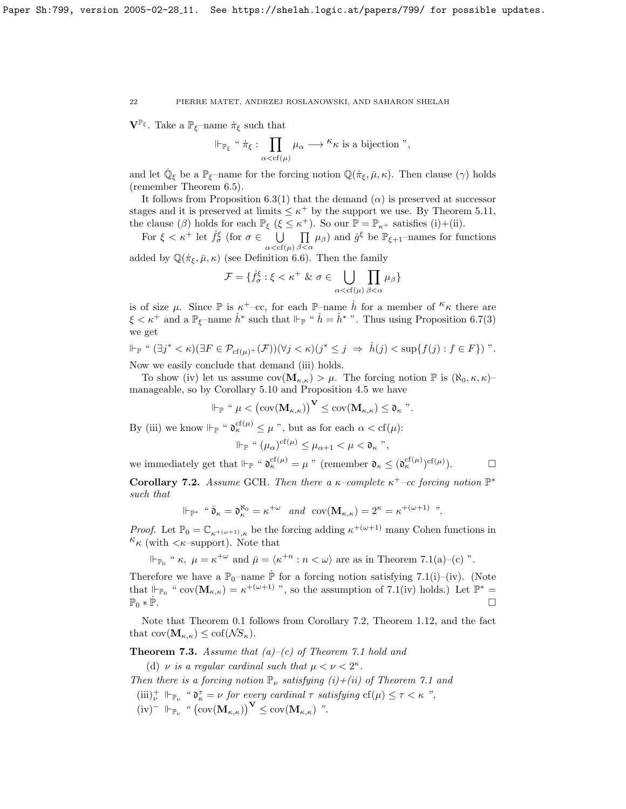$\mathbf{V}^{\mathbb{P}_{\xi}}$ . Take a  $\mathbb{P}_{\xi}$ -name  $\dot{\pi}_{\xi}$  such that

$$
\Vdash_{\mathbb{P}_{\xi}} \text{``}\ \dot{\pi}_{\xi} : \prod_{\alpha < \text{cf}(\mu)} \mu_{\alpha} \longrightarrow \text{``$\kappa$ is a bijection''},
$$

and let  $\dot{\mathbb{Q}}_{\xi}$  be a  $\mathbb{P}_{\xi}$ -name for the forcing notion  $\mathbb{Q}(\dot{\pi}_{\xi}, \bar{\mu}, \kappa)$ . Then clause  $(\gamma)$  holds (remember Theorem [6.5\)](#page-18-1).

It follows from Proposition [6.3\(](#page-0-0)1) that the demand  $(\alpha)$  is preserved at successor stages and it is preserved at limits  $\leq \kappa^+$  by the support we use. By Theorem [5.11,](#page-14-0) the clause ( $\beta$ ) holds for each  $\mathbb{P}_{\xi}$  ( $\xi \leq \kappa^+$ ). So our  $\mathbb{P} = \mathbb{P}_{\kappa^+}$  satisfies (i)+(ii).

For  $\xi < \kappa^+$  let  $\dot{f}^{\xi}_{\sigma}$  (for  $\sigma \in \Box$  $\alpha < c f(\mu)$  $\Pi$  $\prod_{\beta<\alpha}\mu_{\beta}$  and  $\dot{g}^{\xi}$  be  $\mathbb{P}_{\xi+1}$ -names for functions

added by 
$$
\mathbb{Q}(\dot{\pi}_{\xi}, \bar{\mu}, \kappa)
$$
 (see Definition 6.6). Then the family

$$
\mathcal{F} = \{ f_{\sigma}^{\xi} : \xi < \kappa^+ \& \sigma \in \bigcup_{\alpha < \text{cf}(\mu)} \prod_{\beta < \alpha} \mu_{\beta} \}
$$

is of size  $\mu$ . Since  $\mathbb P$  is  $\kappa^+$ -cc, for each  $\mathbb P$ -name  $\dot{h}$  for a member of  $\kappa$  there are  $\xi < \kappa^+$  and a  $\mathbb{P}_{\xi}$ -name  $\dot{h}^*$  such that  $\Vdash_{\mathbb{P}}$  "  $\dot{h} = \dot{h}^*$  ". Thus using Proposition [6.7\(](#page-0-0)3) we get

$$
\Vdash_{\mathbb{P}} \text{`` } (\exists j^* < \kappa)(\exists F \in \mathcal{P}_{cf(\mu)^+}(\mathcal{F}))(\forall j < \kappa)(j^* \leq j \ \Rightarrow \ \dot{h}(j) < \sup\{f(j) : f \in F\}) \text{''}.
$$

Now we easily conclude that demand (iii) holds.

To show (iv) let us assume  $cov(\mathbf{M}_{\kappa,\kappa}) > \mu$ . The forcing notion  $\mathbb P$  is  $(\aleph_0,\kappa,\kappa)$ manageable, so by Corollary [5.10](#page-14-1) and Proposition [4.5](#page-11-1) we have

$$
\Vdash_{\mathbb{P}} \text{`` } \mu < \big( \text{cov}(\mathbf{M}_{\kappa,\kappa}) \big)^{\mathbf{V}} \leq \text{cov}(\mathbf{M}_{\kappa,\kappa}) \leq \mathfrak{d}_{\kappa} \text{''}.
$$

By (iii) we know  $\Vdash_{\mathbb{P}}$  " $\mathfrak{d}_{\kappa}^{cf(\mu)} \leq \mu$ ", but as for each  $\alpha < cf(\mu)$ :

$$
\Vdash_{\mathbb{P}} \text{`` } (\mu_{\alpha})^{cf(\mu)} \leq \mu_{\alpha+1} < \mu < \mathfrak{d}_{\kappa} \text{''},
$$

we immediately get that  $\Vdash_{\mathbb{P}}$  " $\mathfrak{d}_{\kappa}^{\mathrm{cf}(\mu)} = \mu$ " (remember  $\mathfrak{d}_{\kappa} \leq (\mathfrak{d}_{\kappa}^{\mathrm{cf}(\mu)})^{\mathrm{cf}(\mu)}$  $\Box$ 

<span id="page-21-0"></span>Corollary 7.2. Assume GCH. Then there a  $\kappa$ -complete  $\kappa^+$ -cc forcing notion  $\mathbb{P}^*$ such that

$$
\Vdash_{\mathbb{P}^*} \text{``}\overline{\mathfrak{d}}_{\kappa} = \mathfrak{d}_{\kappa}^{\aleph_0} = \kappa^{+\omega} \quad \text{and} \quad \text{cov}(\mathbf{M}_{\kappa,\kappa}) = 2^{\kappa} = \kappa^{+(\omega+1)} \text{''}.
$$

*Proof.* Let  $\mathbb{P}_0 = \mathbb{C}_{\kappa^{+(\omega+1)},\kappa}$  be the forcing adding  $\kappa^{+(\omega+1)}$  many Cohen functions in  $\kappa_{\kappa}$  (with  $\langle \kappa$ –support). Note that

$$
\Vdash_{\mathbb{P}_0} " \kappa, \ \mu = \kappa^{+\omega} \text{ and } \bar{\mu} = \langle \kappa^{+n} : n < \omega \rangle \text{ are as in Theorem 7.1(a)-(c)".}
$$

Therefore we have a  $\mathbb{P}_0$ -name  $\dot{\mathbb{P}}$  for a forcing notion satisfying [7.1\(](#page-20-0)i)–(iv). (Note that  $\Vdash_{\mathbb{P}_0}$  " cov $(\mathbf{M}_{\kappa,\kappa}) = \kappa^{+(\omega+1)}$ ", so the assumption of [7.1\(](#page-20-0)iv) holds.) Let  $\mathbb{P}^* =$  $\mathbb{P}_0 * \dot{\mathbb{P}}$ . . The contract of the contract of the contract of the contract of the contract of the contract of the contract<br>The contract of the contract of the contract of the contract of the contract of the contract of the contract o

Note that Theorem [0.1](#page-1-0) follows from Corollary [7.2,](#page-21-0) Theorem [1.12,](#page-4-0) and the fact that  $cov(\mathbf{M}_{\kappa,\kappa}) \leq cof(\mathcal{N}S_{\kappa}).$ 

<span id="page-21-1"></span>**Theorem 7.3.** Assume that  $(a)-(c)$  of Theorem [7.1](#page-20-0) hold and

(d)  $\nu$  is a regular cardinal such that  $\mu < \nu < 2^{\kappa}$ .

Then there is a forcing notion  $\mathbb{P}_{\nu}$  satisfying  $(i)+(ii)$  of Theorem [7.1](#page-20-0) and

 $(iii)_\nu^+ \Vdash_{\mathbb{P}_\nu}$  "  $\mathfrak{d}_\kappa^\tau = \nu$  for every cardinal  $\tau$  satisfying  $cf(\mu) \leq \tau < \kappa$ ",  $(iv)^ \Vdash_{\mathbb{P}_{\nu}}$  "  $(\text{cov}(\mathbf{M}_{\kappa,\kappa}))^{\mathbf{V}} \leq \text{cov}(\mathbf{M}_{\kappa,\kappa})$  ".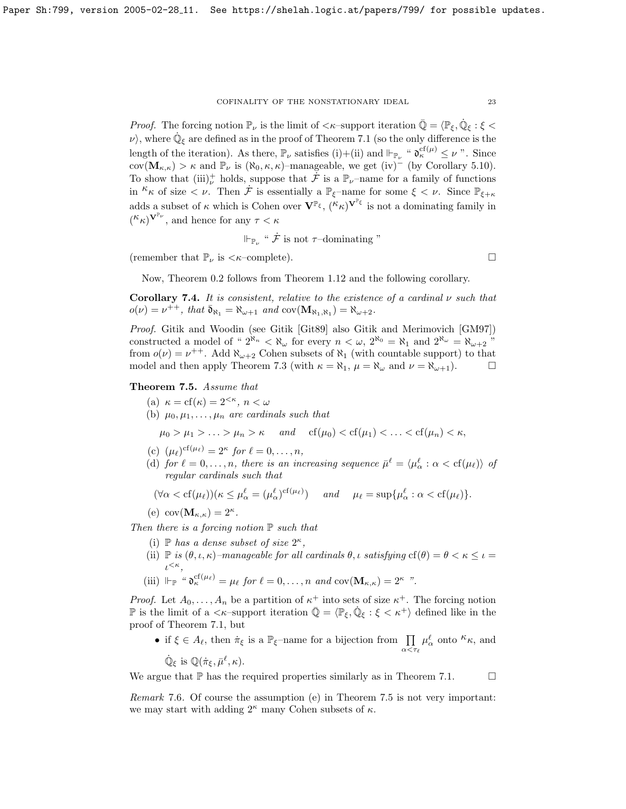*Proof.* The forcing notion  $\mathbb{P}_{\nu}$  is the limit of  $\langle \kappa$ -support iteration  $\overline{\mathbb{Q}} = \langle \mathbb{P}_{\xi}, \dot{\mathbb{Q}}_{\xi} : \xi \langle \xi \rangle$  $\nu$ , where  $\dot{\mathbb{Q}}_{\xi}$  are defined as in the proof of Theorem [7.1](#page-20-0) (so the only difference is the length of the iteration). As there,  $\mathbb{P}_{\nu}$  satisfies (i)+(ii) and  $\Vdash_{\mathbb{P}_{\nu}}$  " $\mathfrak{d}_{\kappa}^{\mathrm{cf}(\mu)} \leq \nu$ ". Since cov( $\mathbf{M}_{\kappa,\kappa}$ ) >  $\kappa$  and  $\mathbb{P}_{\nu}$  is ( $\aleph_0, \kappa, \kappa$ )–manageable, we get (iv)<sup>–</sup> (by Corollary [5.10\)](#page-14-1). To show that  $(iii)^+$  holds, suppose that  $\dot{\mathcal{F}}$  is a  $\mathbb{P}_{\nu}$ -name for a family of functions in  $\kappa_{\kappa}$  of size  $\langle \nu \rangle$ . Then  $\dot{\mathcal{F}}$  is essentially a  $\mathbb{P}_{\xi}$ -name for some  $\xi \langle \nu \rangle$ . Since  $\mathbb{P}_{\xi+\kappa}$ adds a subset of  $\kappa$  which is Cohen over  $\mathbf{V}^{\mathbb{P}_{\xi}}, (\kappa_{\kappa})^{\mathbf{V}^{\mathbb{P}_{\xi}}}$  is not a dominating family in  $({}^{\mathcal{K}}\kappa)^{\mathbf{V}^{\mathbb{P}_{\nu}}},$  and hence for any  $\tau < \kappa$ 

$$
\Vdash_{\mathbb{P}_{\nu}} \text{``}\mathcal{F} \text{ is not } \tau\text{-dominating''}
$$

(remember that  $\mathbb{P}_{\nu}$  is  $\langle \kappa$ -complete).

Now, Theorem [0.2](#page-1-1) follows from Theorem [1.12](#page-4-0) and the following corollary.

Corollary 7.4. It is consistent, relative to the existence of a cardinal  $\nu$  such that  $o(\nu) = \nu^{++}$ , that  $\bar{\mathfrak{d}}_{\aleph_1} = \aleph_{\omega+1}$  and  $\text{cov}(\mathbf{M}_{\aleph_1,\aleph_1}) = \aleph_{\omega+2}$ .

Proof. Gitik and Woodin (see Gitik [\[Git89\]](#page-23-12) also Gitik and Merimovich [\[GM97\]](#page-23-13)) constructed a model of "  $2^{\aleph_n} < \aleph_\omega$  for every  $n < \omega$ ,  $2^{\aleph_0} = \aleph_1$  and  $2^{\aleph_\omega} = \aleph_{\omega+2}$ " from  $o(\nu) = \nu^{++}$ . Add  $\aleph_{\omega+2}$  Cohen subsets of  $\aleph_1$  (with countable support) to that model and then apply Theorem [7.3](#page-21-1) (with  $\kappa = \aleph_1$ ,  $\mu = \aleph_\omega$  and  $\nu = \aleph_{\omega+1}$ ).

# <span id="page-22-0"></span>Theorem 7.5. Assume that

- (a)  $\kappa = \text{cf}(\kappa) = 2^{<\kappa}, n < \omega$
- (b)  $\mu_0, \mu_1, \ldots, \mu_n$  are cardinals such that

$$
\mu_0 > \mu_1 > \ldots > \mu_n > \kappa
$$
 and  $cf(\mu_0) < cf(\mu_1) < \ldots < cf(\mu_n) < \kappa$ ,

- (c)  $(\mu_\ell)^{\text{cf}(\mu_\ell)} = 2^{\kappa}$  for  $\ell = 0, \ldots, n$ ,
- (d) for  $\ell = 0, \ldots, n$ , there is an increasing sequence  $\bar{\mu}^{\ell} = \langle \mu_{\alpha}^{\ell} : \alpha < \text{cf}(\mu_{\ell}) \rangle$  of regular cardinals such that

$$
(\forall \alpha < cf(\mu_\ell))(\kappa \le \mu_\alpha^\ell = (\mu_\alpha^\ell)^{cf(\mu_\ell)}) \quad \text{and} \quad \mu_\ell = \sup \{\mu_\alpha^\ell : \alpha < cf(\mu_\ell)\}.
$$

(e) 
$$
cov(\mathbf{M}_{\kappa,\kappa}) = 2^{\kappa}
$$
.

Then there is a forcing notion  $\mathbb P$  such that

- (i)  $\mathbb P$  has a dense subset of size  $2^{\kappa}$ ,
- (ii)  $\mathbb{P}$  is  $(\theta, \iota, \kappa)$ -manageable for all cardinals  $\theta, \iota$  satisfying  $cf(\theta) = \theta < \kappa \leq \iota$  $\iota^{<\kappa},$
- (iii)  $\Vdash_{\mathbb{P}}$  " $\mathfrak{d}_{\kappa}^{\mathrm{cf}(\mu_{\ell})} = \mu_{\ell}$  for  $\ell = 0, \ldots, n$  and  $\mathrm{cov}(\mathbf{M}_{\kappa,\kappa}) = 2^{\kappa}$  ".

*Proof.* Let  $A_0, \ldots, A_n$  be a partition of  $\kappa^+$  into sets of size  $\kappa^+$ . The forcing notion P is the limit of a  $\langle \kappa$ -support iteration  $\overline{Q} = \langle \mathbb{P}_{\xi}, \dot{Q}_{\xi} : \xi \langle \kappa^+ \rangle$  defined like in the proof of Theorem [7.1,](#page-20-0) but

• if  $\xi \in A_{\ell}$ , then  $\dot{\pi}_{\xi}$  is a  $\mathbb{P}_{\xi}$ -name for a bijection from  $\prod_{\alpha \leq \tau_{\ell}}$  $\mu_{\alpha}^{\ell}$  onto  $\kappa_{\kappa}$ , and  $\dot{\mathbb{Q}}_{\xi}$  is  $\mathbb{Q}(\dot{\pi}_{\xi}, \bar{\mu}^{\ell}, \kappa)$ .

We argue that  $\mathbb P$  has the required properties similarly as in Theorem [7.1.](#page-20-0)  $\Box$ 

Remark 7.6. Of course the assumption (e) in Theorem [7.5](#page-22-0) is not very important: we may start with adding  $2^{\kappa}$  many Cohen subsets of  $\kappa$ .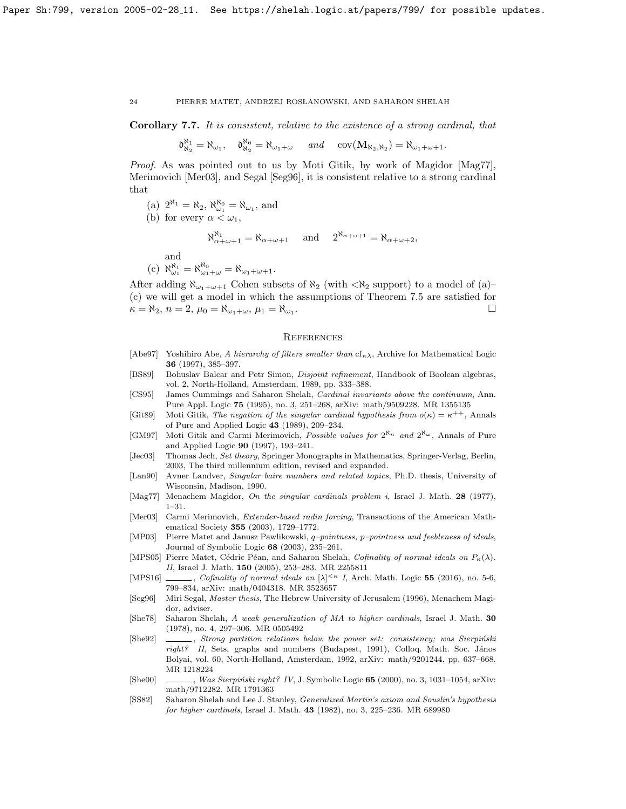Corollary 7.7. It is consistent, relative to the existence of a strong cardinal, that

 $\mathfrak{d}_{\aleph_2}^{\aleph_1} = \aleph_{\omega_1}, \quad \mathfrak{d}_{\aleph_2}^{\aleph_0} = \aleph_{\omega_1 + \omega} \quad \text{and} \quad \text{cov}(\mathbf{M}_{\aleph_2, \aleph_2}) = \aleph_{\omega_1 + \omega + 1}.$ 

Proof. As was pointed out to us by Moti Gitik, by work of Magidor [\[Mag77\]](#page-23-14), Merimovich [\[Mer03\]](#page-23-15), and Segal [\[Seg96\]](#page-23-16), it is consistent relative to a strong cardinal that

- (a)  $2^{\aleph_1} = \aleph_2$ ,  $\aleph_{\omega_1}^{\aleph_0} = \aleph_{\omega_1}$ , and
- (b) for every  $\alpha < \omega_1$ ,

$$
\aleph_{\alpha+\omega+1}^{\aleph_1}=\aleph_{\alpha+\omega+1}\quad \text{ and }\quad 2^{\aleph_{\alpha+\omega+1}}=\aleph_{\alpha+\omega+2},
$$

and

(c) 
$$
\aleph_{\omega_1}^{\aleph_1} = \aleph_{\omega_1+\omega}^{\aleph_0} = \aleph_{\omega_1+\omega+1}.
$$

After adding  $\aleph_{\omega_1+\omega+1}$  Cohen subsets of  $\aleph_2$  (with  $\lt\aleph_2$  support) to a model of (a)– (c) we will get a model in which the assumptions of Theorem [7.5](#page-22-0) are satisfied for  $\kappa = \aleph_2$ ,  $n = 2$ ,  $\mu_0 = \aleph_{\omega_1 + \omega}$ ,  $\mu_1 = \aleph_{\omega_1}$ . .

## **REFERENCES**

- <span id="page-23-6"></span>[Abe97] Yoshihiro Abe, A hierarchy of filters smaller than  $cf_{\kappa\lambda}$ , Archive for Mathematical Logic 36 (1997), 385–397.
- <span id="page-23-3"></span>[BS89] Bohuslav Balcar and Petr Simon, Disjoint refinement, Handbook of Boolean algebras, vol. 2, North-Holland, Amsterdam, 1989, pp. 333–388.
- <span id="page-23-5"></span>[CS95] James Cummings and Saharon Shelah, Cardinal invariants above the continuum, Ann. Pure Appl. Logic 75 (1995), no. 3, 251–268, [arXiv: math/9509228.](https://arxiv.org/abs/math/9509228) MR 1355135
- <span id="page-23-12"></span>[Git89] Moti Gitik, The negation of the singular cardinal hypothesis from  $o(\kappa) = \kappa^{++}$ , Annals of Pure and Applied Logic 43 (1989), 209–234.
- <span id="page-23-13"></span>[GM97] Moti Gitik and Carmi Merimovich, Possible values for  $2^{\aleph_n}$  and  $2^{\aleph_\omega}$ , Annals of Pure and Applied Logic 90 (1997), 193–241.
- <span id="page-23-0"></span>[Jec03] Thomas Jech, Set theory, Springer Monographs in Mathematics, Springer-Verlag, Berlin, 2003, The third millennium edition, revised and expanded.
- <span id="page-23-4"></span>[Lan90] Avner Landver, Singular baire numbers and related topics, Ph.D. thesis, University of Wisconsin, Madison, 1990.
- <span id="page-23-14"></span>[Mag77] Menachem Magidor, On the singular cardinals problem i, Israel J. Math. 28 (1977), 1–31.
- <span id="page-23-15"></span>[Mer03] Carmi Merimovich, Extender-based radin forcing, Transactions of the American Mathematical Society 355 (2003), 1729–1772.
- <span id="page-23-2"></span>[MP03] Pierre Matet and Janusz Pawlikowski, q-pointness, p-pointness and feebleness of ideals, Journal of Symbolic Logic 68 (2003), 235–261.
- <span id="page-23-7"></span>[MPS05] Pierre Matet, Cédric Péan, and Saharon Shelah, Cofinality of normal ideals on  $P_{\kappa}(\lambda)$ . II, Israel J. Math. 150 (2005), 253-283. MR 2255811
- <span id="page-23-1"></span>[MPS16] , Cofinality of normal ideals on  $[\lambda]^{< \kappa}$  I, Arch. Math. Logic 55 (2016), no. 5-6, 799–834, [arXiv: math/0404318.](https://arxiv.org/abs/math/0404318) MR 3523657
- <span id="page-23-16"></span>[Seg96] Miri Segal, Master thesis, The Hebrew University of Jerusalem (1996), Menachem Magidor, adviser.
- <span id="page-23-11"></span>[She78] Saharon Shelah, A weak generalization of MA to higher cardinals, Israel J. Math. 30 (1978), no. 4, 297–306. MR 0505492
- <span id="page-23-8"></span>[She92] , Strong partition relations below the power set: consistency; was Sierpiński  $right?$  II, Sets, graphs and numbers (Budapest, 1991), Colloq. Math. Soc. János Bolyai, vol. 60, North-Holland, Amsterdam, 1992, [arXiv: math/9201244,](https://arxiv.org/abs/math/9201244) pp. 637–668. MR 1218224
- <span id="page-23-9"></span>[She00]  $\ldots$ , Was Sierpiński right? IV, J. Symbolic Logic 65 (2000), no. 3, 1031-1054, [arXiv:](https://arxiv.org/abs/math/9712282) [math/9712282.](https://arxiv.org/abs/math/9712282) MR 1791363
- <span id="page-23-10"></span>[SS82] Saharon Shelah and Lee J. Stanley, Generalized Martin's axiom and Souslin's hypothesis for higher cardinals, Israel J. Math. 43 (1982), no. 3, 225–236. MR 689980